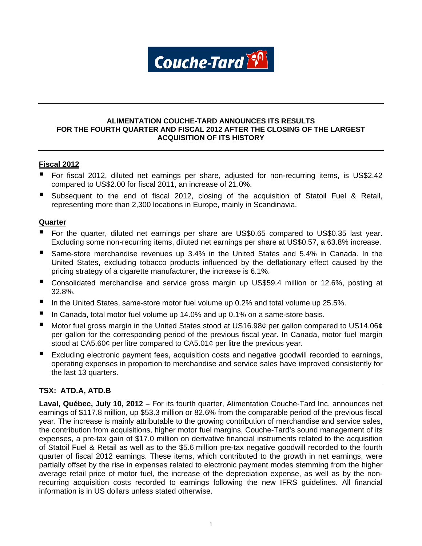

## **ALIMENTATION COUCHE-TARD ANNOUNCES ITS RESULTS FOR THE FOURTH QUARTER AND FISCAL 2012 AFTER THE CLOSING OF THE LARGEST ACQUISITION OF ITS HISTORY**

# **Fiscal 2012**

- For fiscal 2012, diluted net earnings per share, adjusted for non-recurring items, is US\$2.42 compared to US\$2.00 for fiscal 2011, an increase of 21.0%.
- Subsequent to the end of fiscal 2012, closing of the acquisition of Statoil Fuel & Retail, representing more than 2,300 locations in Europe, mainly in Scandinavia.

# **Quarter**

- For the quarter, diluted net earnings per share are US\$0.65 compared to US\$0.35 last year. Excluding some non-recurring items, diluted net earnings per share at US\$0.57, a 63.8% increase.
- Same-store merchandise revenues up 3.4% in the United States and 5.4% in Canada. In the United States, excluding tobacco products influenced by the deflationary effect caused by the pricing strategy of a cigarette manufacturer, the increase is 6.1%.
- Consolidated merchandise and service gross margin up US\$59.4 million or 12.6%, posting at 32.8%.
- In the United States, same-store motor fuel volume up 0.2% and total volume up 25.5%.
- In Canada, total motor fuel volume up 14.0% and up 0.1% on a same-store basis.
- Motor fuel gross margin in the United States stood at US16.98¢ per gallon compared to US14.06¢ per gallon for the corresponding period of the previous fiscal year. In Canada, motor fuel margin stood at CA5.60¢ per litre compared to CA5.01¢ per litre the previous year.
- Excluding electronic payment fees, acquisition costs and negative goodwill recorded to earnings, operating expenses in proportion to merchandise and service sales have improved consistently for the last 13 quarters.

# **TSX: ATD.A, ATD.B**

**Laval, Québec, July 10, 2012 –** For its fourth quarter, Alimentation Couche-Tard Inc. announces net earnings of \$117.8 million, up \$53.3 million or 82.6% from the comparable period of the previous fiscal year. The increase is mainly attributable to the growing contribution of merchandise and service sales, the contribution from acquisitions, higher motor fuel margins, Couche-Tard's sound management of its expenses, a pre-tax gain of \$17.0 million on derivative financial instruments related to the acquisition of Statoil Fuel & Retail as well as to the \$5.6 million pre-tax negative goodwill recorded to the fourth quarter of fiscal 2012 earnings. These items, which contributed to the growth in net earnings, were partially offset by the rise in expenses related to electronic payment modes stemming from the higher average retail price of motor fuel, the increase of the depreciation expense, as well as by the nonrecurring acquisition costs recorded to earnings following the new IFRS guidelines. All financial information is in US dollars unless stated otherwise.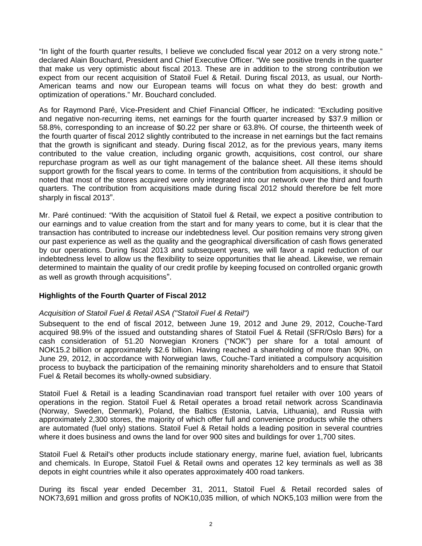"In light of the fourth quarter results, I believe we concluded fiscal year 2012 on a very strong note." declared Alain Bouchard, President and Chief Executive Officer. "We see positive trends in the quarter that make us very optimistic about fiscal 2013. These are in addition to the strong contribution we expect from our recent acquisition of Statoil Fuel & Retail. During fiscal 2013, as usual, our North-American teams and now our European teams will focus on what they do best: growth and optimization of operations." Mr. Bouchard concluded.

As for Raymond Paré, Vice-President and Chief Financial Officer, he indicated: "Excluding positive and negative non-recurring items, net earnings for the fourth quarter increased by \$37.9 million or 58.8%, corresponding to an increase of \$0.22 per share or 63.8%. Of course, the thirteenth week of the fourth quarter of fiscal 2012 slightly contributed to the increase in net earnings but the fact remains that the growth is significant and steady. During fiscal 2012, as for the previous years, many items contributed to the value creation, including organic growth, acquisitions, cost control, our share repurchase program as well as our tight management of the balance sheet. All these items should support growth for the fiscal years to come. In terms of the contribution from acquisitions, it should be noted that most of the stores acquired were only integrated into our network over the third and fourth quarters. The contribution from acquisitions made during fiscal 2012 should therefore be felt more sharply in fiscal 2013".

Mr. Paré continued: "With the acquisition of Statoil fuel & Retail, we expect a positive contribution to our earnings and to value creation from the start and for many years to come, but it is clear that the transaction has contributed to increase our indebtedness level. Our position remains very strong given our past experience as well as the quality and the geographical diversification of cash flows generated by our operations. During fiscal 2013 and subsequent years, we will favor a rapid reduction of our indebtedness level to allow us the flexibility to seize opportunities that lie ahead. Likewise, we remain determined to maintain the quality of our credit profile by keeping focused on controlled organic growth as well as growth through acquisitions".

# **Highlights of the Fourth Quarter of Fiscal 2012**

# *Acquisition of Statoil Fuel & Retail ASA ("Statoil Fuel & Retail")*

Subsequent to the end of fiscal 2012, between June 19, 2012 and June 29, 2012, Couche-Tard acquired 98.9% of the issued and outstanding shares of Statoil Fuel & Retail (SFR/Oslo Børs) for a cash consideration of 51.20 Norwegian Kroners ("NOK") per share for a total amount of NOK15.2 billion or approximately \$2.6 billion. Having reached a shareholding of more than 90%, on June 29, 2012, in accordance with Norwegian laws, Couche-Tard initiated a compulsory acquisition process to buyback the participation of the remaining minority shareholders and to ensure that Statoil Fuel & Retail becomes its wholly-owned subsidiary.

Statoil Fuel & Retail is a leading Scandinavian road transport fuel retailer with over 100 years of operations in the region. Statoil Fuel & Retail operates a broad retail network across Scandinavia (Norway, Sweden, Denmark), Poland, the Baltics (Estonia, Latvia, Lithuania), and Russia with approximately 2,300 stores, the majority of which offer full and convenience products while the others are automated (fuel only) stations. Statoil Fuel & Retail holds a leading position in several countries where it does business and owns the land for over 900 sites and buildings for over 1,700 sites.

Statoil Fuel & Retail's other products include stationary energy, marine fuel, aviation fuel, lubricants and chemicals. In Europe, Statoil Fuel & Retail owns and operates 12 key terminals as well as 38 depots in eight countries while it also operates approximately 400 road tankers.

During its fiscal year ended December 31, 2011, Statoil Fuel & Retail recorded sales of NOK73,691 million and gross profits of NOK10,035 million, of which NOK5,103 million were from the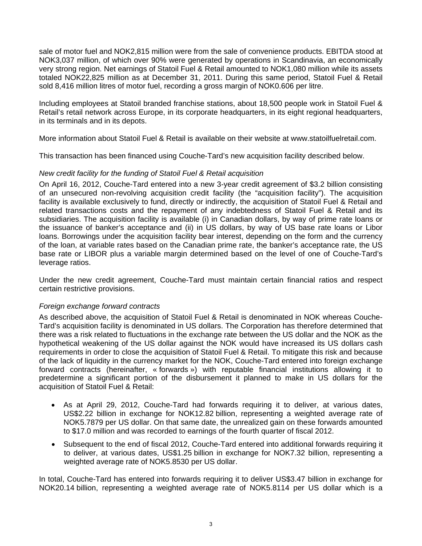sale of motor fuel and NOK2,815 million were from the sale of convenience products. EBITDA stood at NOK3,037 million, of which over 90% were generated by operations in Scandinavia, an economically very strong region. Net earnings of Statoil Fuel & Retail amounted to NOK1,080 million while its assets totaled NOK22,825 million as at December 31, 2011. During this same period, Statoil Fuel & Retail sold 8,416 million litres of motor fuel, recording a gross margin of NOK0.606 per litre.

Including employees at Statoil branded franchise stations, about 18,500 people work in Statoil Fuel & Retail's retail network across Europe, in its corporate headquarters, in its eight regional headquarters, in its terminals and in its depots.

More information about Statoil Fuel & Retail is available on their website at www.statoilfuelretail.com.

This transaction has been financed using Couche-Tard's new acquisition facility described below.

# *New credit facility for the funding of Statoil Fuel & Retail acquisition*

On April 16, 2012, Couche-Tard entered into a new 3-year credit agreement of \$3.2 billion consisting of an unsecured non-revolving acquisition credit facility (the "acquisition facility"). The acquisition facility is available exclusively to fund, directly or indirectly, the acquisition of Statoil Fuel & Retail and related transactions costs and the repayment of any indebtedness of Statoil Fuel & Retail and its subsidiaries. The acquisition facility is available (i) in Canadian dollars, by way of prime rate loans or the issuance of banker's acceptance and (ii) in US dollars, by way of US base rate loans or Libor loans. Borrowings under the acquisition facility bear interest, depending on the form and the currency of the loan, at variable rates based on the Canadian prime rate, the banker's acceptance rate, the US base rate or LIBOR plus a variable margin determined based on the level of one of Couche-Tard's leverage ratios.

Under the new credit agreement, Couche-Tard must maintain certain financial ratios and respect certain restrictive provisions.

# *Foreign exchange forward contracts*

As described above, the acquisition of Statoil Fuel & Retail is denominated in NOK whereas Couche-Tard's acquisition facility is denominated in US dollars. The Corporation has therefore determined that there was a risk related to fluctuations in the exchange rate between the US dollar and the NOK as the hypothetical weakening of the US dollar against the NOK would have increased its US dollars cash requirements in order to close the acquisition of Statoil Fuel & Retail. To mitigate this risk and because of the lack of liquidity in the currency market for the NOK, Couche-Tard entered into foreign exchange forward contracts (hereinafter, « forwards ») with reputable financial institutions allowing it to predetermine a significant portion of the disbursement it planned to make in US dollars for the acquisition of Statoil Fuel & Retail:

- As at April 29, 2012, Couche-Tard had forwards requiring it to deliver, at various dates, US\$2.22 billion in exchange for NOK12.82 billion, representing a weighted average rate of NOK5.7879 per US dollar. On that same date, the unrealized gain on these forwards amounted to \$17.0 million and was recorded to earnings of the fourth quarter of fiscal 2012.
- Subsequent to the end of fiscal 2012, Couche-Tard entered into additional forwards requiring it to deliver, at various dates, US\$1.25 billion in exchange for NOK7.32 billion, representing a weighted average rate of NOK5.8530 per US dollar.

In total, Couche-Tard has entered into forwards requiring it to deliver US\$3.47 billion in exchange for NOK20.14 billion, representing a weighted average rate of NOK5.8114 per US dollar which is a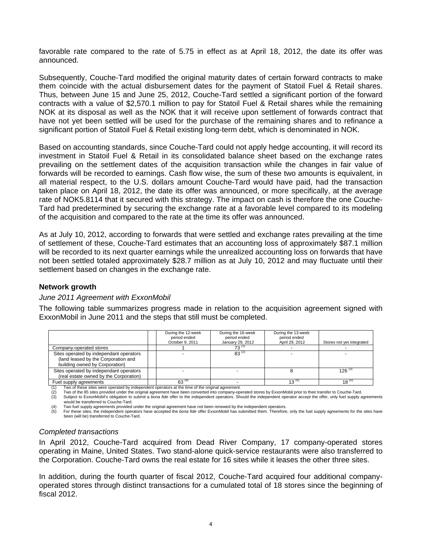favorable rate compared to the rate of 5.75 in effect as at April 18, 2012, the date its offer was announced.

Subsequently, Couche-Tard modified the original maturity dates of certain forward contracts to make them coincide with the actual disbursement dates for the payment of Statoil Fuel & Retail shares. Thus, between June 15 and June 25, 2012, Couche-Tard settled a significant portion of the forward contracts with a value of \$2,570.1 million to pay for Statoil Fuel & Retail shares while the remaining NOK at its disposal as well as the NOK that it will receive upon settlement of forwards contract that have not yet been settled will be used for the purchase of the remaining shares and to refinance a significant portion of Statoil Fuel & Retail existing long-term debt, which is denominated in NOK.

Based on accounting standards, since Couche-Tard could not apply hedge accounting, it will record its investment in Statoil Fuel & Retail in its consolidated balance sheet based on the exchange rates prevailing on the settlement dates of the acquisition transaction while the changes in fair value of forwards will be recorded to earnings. Cash flow wise, the sum of these two amounts is equivalent, in all material respect, to the U.S. dollars amount Couche-Tard would have paid, had the transaction taken place on April 18, 2012, the date its offer was announced, or more specifically, at the average rate of NOK5.8114 that it secured with this strategy. The impact on cash is therefore the one Couche-Tard had predetermined by securing the exchange rate at a favorable level compared to its modeling of the acquisition and compared to the rate at the time its offer was announced.

As at July 10, 2012, according to forwards that were settled and exchange rates prevailing at the time of settlement of these, Couche-Tard estimates that an accounting loss of approximately \$87.1 million will be recorded to its next quarter earnings while the unrealized accounting loss on forwards that have not been settled totaled approximately \$28.7 million as at July 10, 2012 and may fluctuate until their settlement based on changes in the exchange rate.

# **Network growth**

# *June 2011 Agreement with ExxonMobil*

The following table summarizes progress made in relation to the acquisition agreement signed with ExxonMobil in June 2011 and the steps that still must be completed.

|                                                                                                                  | During the 12-week<br>period ended<br>October 9, 2011 | During the 16-week<br>period ended<br>January 29, 2012 | During the 13-week<br>period ended<br>April 29, 2012 | Stores not yet integrated |
|------------------------------------------------------------------------------------------------------------------|-------------------------------------------------------|--------------------------------------------------------|------------------------------------------------------|---------------------------|
| Company-operated stores                                                                                          |                                                       | $73^{(1)}$                                             |                                                      |                           |
| Sites operated by independant operators<br>(land leased by the Corporation and<br>building owned by Corporation) |                                                       | $83^{(2)}$                                             |                                                      |                           |
| Sites operated by independant operators<br>(real estate owned by the Corporation)                                |                                                       |                                                        |                                                      | 126 <sup>(3)</sup>        |
| Fuel supply agreements                                                                                           | $63^{(4)}$                                            |                                                        | $13^{(5)}$                                           | $18^{(5)}$                |
| Two of these sites were operated by independent operators at the time of the original agreement                  |                                                       |                                                        |                                                      |                           |

(1) Two of these sites were operated by independent operators at the time of the original agreement.<br>(2) Two of the 85 sites provided under the original agreement have been converted into company-operated stores by ExxonMo would be transferred to Couche-Tard.

(4) Two fuel supply agreements provided under the original agreement have not been renewed by the independent operators.

(5) For these sites, the independent operators have accepted the *bona fide* offer ExxonMobil has submitted them. Therefore, only the fuel supply agreements for the sites have been (will be) transferred to Couche-Tard.

# *Completed transactions*

In April 2012, Couche-Tard acquired from Dead River Company, 17 company-operated stores operating in Maine, United States. Two stand-alone quick-service restaurants were also transferred to the Corporation. Couche-Tard owns the real estate for 16 sites while it leases the other three sites.

In addition, during the fourth quarter of fiscal 2012, Couche-Tard acquired four additional companyoperated stores through distinct transactions for a cumulated total of 18 stores since the beginning of fiscal 2012.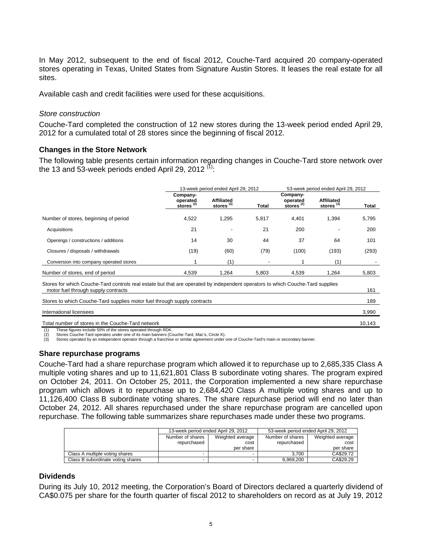In May 2012, subsequent to the end of fiscal 2012, Couche-Tard acquired 20 company-operated stores operating in Texas, United States from Signature Austin Stores. It leases the real estate for all sites.

Available cash and credit facilities were used for these acquisitions.

## *Store construction*

Couche-Tard completed the construction of 12 new stores during the 13-week period ended April 29, 2012 for a cumulated total of 28 stores since the beginning of fiscal 2012.

# **Changes in the Store Network**

The following table presents certain information regarding changes in Couche-Tard store network over the 13 and 53-week periods ended April 29, 2012  $(1)$ .

|                                                                                                                                                                       | 13-week period ended April 29, 2012           |                            |                          | 53-week period ended April 29, 2012  |                            |        |
|-----------------------------------------------------------------------------------------------------------------------------------------------------------------------|-----------------------------------------------|----------------------------|--------------------------|--------------------------------------|----------------------------|--------|
|                                                                                                                                                                       | Company-<br>operated<br>stores <sup>(2)</sup> | Affiliated<br>stores $(3)$ | Total                    | Company-<br>operated<br>stores $(2)$ | Affiliated<br>stores $(3)$ | Total  |
| Number of stores, beginning of period                                                                                                                                 | 4,522                                         | 1,295                      | 5,817                    | 4,401                                | 1,394                      | 5,795  |
| Acquisitions                                                                                                                                                          | 21                                            |                            | 21                       | 200                                  |                            | 200    |
| Openings / constructions / additions                                                                                                                                  | 14                                            | 30                         | 44                       | 37                                   | 64                         | 101    |
| Closures / disposals / withdrawals                                                                                                                                    | (19)                                          | (60)                       | (79)                     | (100)                                | (193)                      | (293)  |
| Conversion into company operated stores                                                                                                                               |                                               | (1)                        | $\overline{\phantom{a}}$ |                                      | (1)                        |        |
| Number of stores, end of period                                                                                                                                       | 4.539                                         | 1.264                      | 5,803                    | 4,539                                | 1,264                      | 5,803  |
| Stores for which Couche-Tard controls real estate but that are operated by independent operators to which Couche-Tard supplies<br>motor fuel through supply contracts |                                               |                            |                          |                                      |                            | 161    |
| Stores to which Couche-Tard supplies motor fuel through supply contracts                                                                                              |                                               |                            |                          |                                      |                            | 189    |
| International licensees                                                                                                                                               |                                               |                            |                          |                                      |                            | 3,990  |
| Total number of stores in the Couche-Tard network<br>74) These formed to dealer FOOT of the atoms are control theorem DDIZ.                                           |                                               |                            |                          |                                      |                            | 10,143 |

(1) These figures include 50% of the stores operated through RDK. (2) Stores Couche-Tard operates under one of its main banners (Couche-Tard, Mac's, Circle K).

Stores operated by an independent operator through a franchise or similar agreement under one of Couche-Tard's main or secondary banner.

# **Share repurchase programs**

Couche-Tard had a share repurchase program which allowed it to repurchase up to 2,685,335 Class A multiple voting shares and up to 11,621,801 Class B subordinate voting shares. The program expired on October 24, 2011. On October 25, 2011, the Corporation implemented a new share repurchase program which allows it to repurchase up to 2,684,420 Class A multiple voting shares and up to 11,126,400 Class B subordinate voting shares. The share repurchase period will end no later than October 24, 2012. All shares repurchased under the share repurchase program are cancelled upon repurchase. The following table summarizes share repurchases made under these two programs.

|                                   |                  | 13-week period ended April 29, 2012 | 53-week period ended April 29, 2012 |                  |  |
|-----------------------------------|------------------|-------------------------------------|-------------------------------------|------------------|--|
|                                   | Number of shares | Weighted average                    | Number of shares                    | Weighted average |  |
|                                   | repurchased      | cost                                | repurchased                         | cost             |  |
|                                   |                  | per share                           |                                     | per share        |  |
| Class A multiple voting shares    |                  | -                                   | 3.700                               | CA\$29.72        |  |
| Class B subordinate voting shares |                  | -                                   | 6.969.200                           | CA\$29.29        |  |

# **Dividends**

During its July 10, 2012 meeting, the Corporation's Board of Directors declared a quarterly dividend of CA\$0.075 per share for the fourth quarter of fiscal 2012 to shareholders on record as at July 19, 2012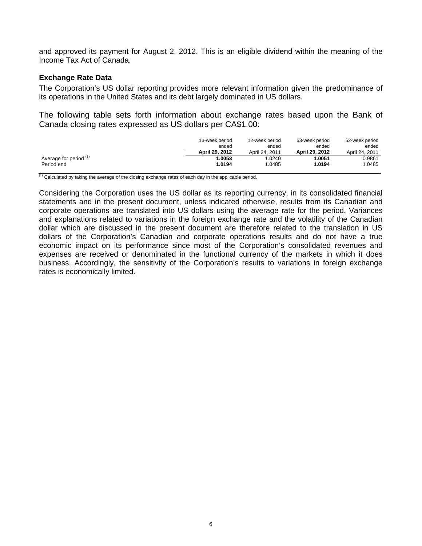and approved its payment for August 2, 2012. This is an eligible dividend within the meaning of the Income Tax Act of Canada.

# **Exchange Rate Data**

The Corporation's US dollar reporting provides more relevant information given the predominance of its operations in the United States and its debt largely dominated in US dollars.

The following table sets forth information about exchange rates based upon the Bank of Canada closing rates expressed as US dollars per CA\$1.00:

|                        | 13-week period<br>ended | 12-week period<br>ended | 53-week period<br>ended | 52-week period<br>ended |
|------------------------|-------------------------|-------------------------|-------------------------|-------------------------|
|                        | April 29, 2012          | April 24, 2011          | April 29, 2012          | April 24, 2011          |
| Average for period (1) | .0053                   | 1.0240                  | 1.0051                  | 0.9861                  |
| Period end             | 1.0194                  | 1.0485                  | 1.0194                  | .0485                   |

 $<sup>(1)</sup>$  Calculated by taking the average of the closing exchange rates of each day in the applicable period.</sup>

Considering the Corporation uses the US dollar as its reporting currency, in its consolidated financial statements and in the present document, unless indicated otherwise, results from its Canadian and corporate operations are translated into US dollars using the average rate for the period. Variances and explanations related to variations in the foreign exchange rate and the volatility of the Canadian dollar which are discussed in the present document are therefore related to the translation in US dollars of the Corporation's Canadian and corporate operations results and do not have a true economic impact on its performance since most of the Corporation's consolidated revenues and expenses are received or denominated in the functional currency of the markets in which it does business. Accordingly, the sensitivity of the Corporation's results to variations in foreign exchange rates is economically limited.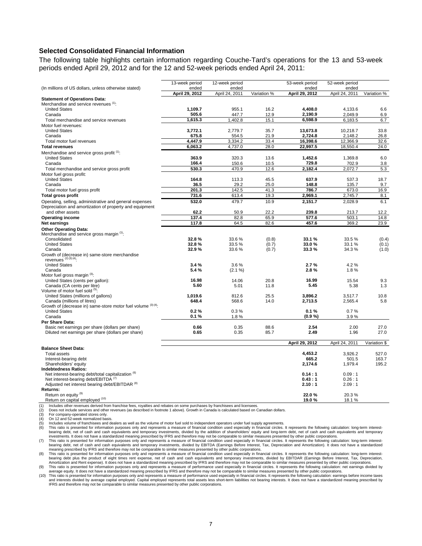## **Selected Consolidated Financial Information**

The following table highlights certain information regarding Couche-Tard's operations for the 13 and 53-week periods ended April 29, 2012 and for the 12 and 52-week periods ended April 24, 2011:

|                                                                               | 13-week period     | 12-week period     |                | 53-week period      | 52-week period       |                |
|-------------------------------------------------------------------------------|--------------------|--------------------|----------------|---------------------|----------------------|----------------|
| (In millions of US dollars, unless otherwise stated)                          | ended              | ended              |                | ended               | ended                |                |
| <b>Statement of Operations Data:</b>                                          | April 29, 2012     | April 24, 2011     | Variation %    | April 29, 2012      | April 24, 2011       | Variation %    |
| Merchandise and service revenues (1):                                         |                    |                    |                |                     |                      |                |
| <b>United States</b>                                                          | 1,109.7            | 955.1              | 16.2           | 4,408.0             | 4,133.6              | 6.6            |
| Canada                                                                        | 505.6              | 447.7              | 12.9           | 2,190.9             | 2,049.9              | 6.9            |
| Total merchandise and service revenues                                        | 1,615.3            | 1,402.8            | 15.1           | 6,598.9             | 6,183.5              | 6.7            |
| Motor fuel revenues:                                                          |                    |                    |                |                     |                      |                |
| <b>United States</b>                                                          | 3,772.1            | 2.779.7            | 35.7           | 13.673.8            | 10.218.7             | 33.8           |
| Canada                                                                        | 675.8              | 554.5              | 21.9<br>33.4   | 2,724.8<br>16.398.6 | 2.148.2              | 26.8           |
| Total motor fuel revenues<br><b>Total revenues</b>                            | 4,447.9<br>6,063.2 | 3,334.2<br>4,737.0 | 28.0           | 22,997.5            | 12,366.9<br>18,550.4 | 32.6<br>24.0   |
|                                                                               |                    |                    |                |                     |                      |                |
| Merchandise and service gross profit <sup>(1)</sup> :<br><b>United States</b> | 363.9              | 320.3              | 13.6           | 1,452.6             | 1,369.8              | 6.0            |
| Canada                                                                        | 166.4              | 150.6              | 10.5           | 729.8               | 702.9                | 3.8            |
| Total merchandise and service gross profit                                    | 530.3              | 470.9              | 12.6           | 2,182.4             | 2,072.7              | 5.3            |
| Motor fuel gross profit:                                                      |                    |                    |                |                     |                      |                |
| <b>United States</b>                                                          | 164.8              | 113.3              | 45.5           | 637.9               | 537.3                | 18.7           |
| Canada                                                                        | 36.5               | 29.2               | 25.0           | 148.8               | 135.7                | 9.7            |
| Total motor fuel gross profit                                                 | 201.3              | 142.5              | 41.3           | 786.7               | 673.0                | 16.9           |
| <b>Total gross profit</b>                                                     | 731.6              | 613.4              | 19.3           | 2,969.1             | 2,745.7              | 8.1            |
| Operating, selling, administrative and general expenses                       | 532.0              | 479.7              | 10.9           | 2,151.7             | 2,028.9              | 6.1            |
| Depreciation and amortization of property and equipment                       |                    |                    |                |                     |                      |                |
| and other assets                                                              | 62.2               | 50.9               | 22.2           | 239.8               | 213.7                | 12.2           |
| <b>Operating income</b>                                                       | 137.4              | 82.8               | 65.9           | 577.6               | 503.1                | 14.8           |
| <b>Net earnings</b>                                                           | 117.8              | 64.5               | 82.6           | 457.6               | 369.2                | 23.9           |
| <b>Other Operating Data:</b>                                                  |                    |                    |                |                     |                      |                |
| Merchandise and service gross margin (1):                                     |                    |                    |                |                     |                      |                |
| Consolidated<br><b>United States</b>                                          | 32.8%<br>32.8%     | 33.6%<br>33.5%     | (0.8)<br>(0.7) | 33.1 %<br>33.0%     | 33.5 %<br>33.1%      | (0.4)<br>(0.1) |
| Canada                                                                        | 32.9%              | 33.6%              | (0.7)          | 33.3%               | 34.3%                | (1.0)          |
| Growth of (decrease in) same-store merchandise                                |                    |                    |                |                     |                      |                |
| revenues <sup>(2)(3)(4)</sup>                                                 |                    |                    |                |                     |                      |                |
| <b>United States</b>                                                          | 3.4%               | 3.6%               |                | 2.7%                | 4.2%                 |                |
| Canada                                                                        | 5.4%               | (2.1 %)            |                | 2.8%                | 1.8%                 |                |
| Motor fuel gross margin (3):                                                  |                    |                    |                |                     |                      |                |
| United States (cents per gallon):                                             | 16.98              | 14.06              | 20.8           | 16.99               | 15.54                | 9.3            |
| Canada (CA cents per litre)                                                   | 5.60               | 5.01               | 11.8           | 5.45                | 5.38                 | 1.3            |
| Volume of motor fuel sold (5):<br>United States (millions of gallons)         | 1,019.6            | 812.6              | 25.5           | 3,896.2             | 3,517.7              | 10.8           |
| Canada (millions of litres)                                                   | 648.4              | 568.6              | 14.0           | 2,713.5             | 2,565.4              | 5.8            |
| Growth of (decrease in) same-store motor fuel volume (3) (4):                 |                    |                    |                |                     |                      |                |
| <b>United States</b>                                                          | 0.2%               | 0.3%               |                | 0.1%                | 0.7%                 |                |
| Canada                                                                        | 0.1%               | 1.8%               |                | $(0.9\%)$           | 3.9%                 |                |
| Per Share Data:                                                               |                    |                    |                |                     |                      |                |
| Basic net earnings per share (dollars per share)                              | 0.66               | 0.35               | 88.6           | 2.54                | 2.00                 | 27.0           |
| Diluted net earnings per share (dollars per share)                            | 0.65               | 0.35               | 85.7           | 2.49                | 1.96                 | 27.0           |
|                                                                               |                    |                    |                |                     | April 24, 2011       | Variation \$   |
| <b>Balance Sheet Data:</b>                                                    |                    |                    |                | April 29, 2012      |                      |                |
| <b>Total assets</b>                                                           |                    |                    |                | 4,453.2             | 3,926.2              | 527.0          |
| Interest-bearing debt                                                         |                    |                    |                | 665.2               | 501.5                | 163.7          |
| Shareholders' equity                                                          |                    |                    |                | 2,174.6             | 1,979.4              | 195.2          |
| <b>Indebtedness Ratios:</b>                                                   |                    |                    |                |                     |                      |                |
| Net interest-bearing debt/total capitalization <sup>(6)</sup>                 |                    |                    |                | 0.14:1              | 0.09:1               |                |
| Net interest-bearing debt/EBITDA <sup>(7)</sup>                               |                    |                    |                | 0.43:1              | 0.26:1               |                |
| Adjusted net interest bearing debt/EBITDAR <sup>(8)</sup>                     |                    |                    |                | 2.10:1              | 2.09:1               |                |
| Returns:                                                                      |                    |                    |                |                     |                      |                |
| Return on equity <sup>(9)</sup><br>Return on capital employed (10)            |                    |                    |                | 22.0%<br>19.0%      | 20.3%<br>18.1%       |                |
|                                                                               |                    |                    |                |                     |                      |                |

(1) Includes other revenues derived from franchise fees, royalties and rebates on some purchases by franchisees and licensees.

(2) Does not include services and other revenues (as described in footnote 1 above). Growth in Canada is calculated based on Canadian dollars.<br>(3) For company-operated stores only.<br>(5) Includes volume of franchisees and de

For company-operated stores only. On 12 and 52-week normalized basis.

(5) Includes volume of franchisees and dealers as well as the volume of motor fuel sold to independent operators under fuel supply agreements. It represents the following calculation: long-term interest-<br>(6) This ratio is

investments. It does not have a standardized meaning prescribed by IFRS and therefore may not be comparable to similar measures presented by other public corporations.<br>(7) This ratio is presented for information purposes o bearing debt, net of cash and cash equivalents and temporary investments, divided by EBITDA (Earnings Before Interest, Tax, Depreciation and Amortization). It does not have a standardized<br>meaning prescribed by IFRS and the

bearing debt plus the product of eight times rent expense, net of cash and cash equivalents and temporary investments, divided by EBITDAR (Earnings Before Interest, Tax, Depreciation,<br>Amortization and Rent expense). It doe

9) This ratio is presented for information purposes only and represents a measure of performance used especially in financial circles. It represents the following calculation: net earnings divided by<br>average equity. It doe

10) This ratio is presented for information purposes only and represents a measure of performance used especially in financial circles. It represents the following calculation: earnings before income taxes (10) This ratio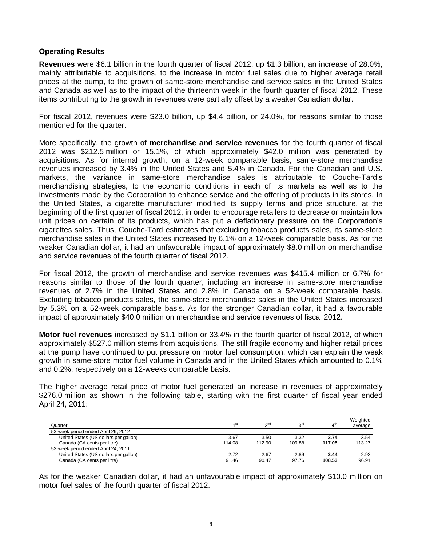# **Operating Results**

**Revenues** were \$6.1 billion in the fourth quarter of fiscal 2012, up \$1.3 billion, an increase of 28.0%, mainly attributable to acquisitions, to the increase in motor fuel sales due to higher average retail prices at the pump, to the growth of same-store merchandise and service sales in the United States and Canada as well as to the impact of the thirteenth week in the fourth quarter of fiscal 2012. These items contributing to the growth in revenues were partially offset by a weaker Canadian dollar.

For fiscal 2012, revenues were \$23.0 billion, up \$4.4 billion, or 24.0%, for reasons similar to those mentioned for the quarter.

More specifically, the growth of **merchandise and service revenues** for the fourth quarter of fiscal 2012 was \$212.5 million or 15.1%, of which approximately \$42.0 million was generated by acquisitions. As for internal growth, on a 12-week comparable basis, same-store merchandise revenues increased by 3.4% in the United States and 5.4% in Canada. For the Canadian and U.S. markets, the variance in same-store merchandise sales is attributable to Couche-Tard's merchandising strategies, to the economic conditions in each of its markets as well as to the investments made by the Corporation to enhance service and the offering of products in its stores. In the United States, a cigarette manufacturer modified its supply terms and price structure, at the beginning of the first quarter of fiscal 2012, in order to encourage retailers to decrease or maintain low unit prices on certain of its products, which has put a deflationary pressure on the Corporation's cigarettes sales. Thus, Couche-Tard estimates that excluding tobacco products sales, its same-store merchandise sales in the United States increased by 6.1% on a 12-week comparable basis. As for the weaker Canadian dollar, it had an unfavourable impact of approximately \$8.0 million on merchandise and service revenues of the fourth quarter of fiscal 2012.

For fiscal 2012, the growth of merchandise and service revenues was \$415.4 million or 6.7% for reasons similar to those of the fourth quarter, including an increase in same-store merchandise revenues of 2.7% in the United States and 2.8% in Canada on a 52-week comparable basis. Excluding tobacco products sales, the same-store merchandise sales in the United States increased by 5.3% on a 52-week comparable basis. As for the stronger Canadian dollar, it had a favourable impact of approximately \$40.0 million on merchandise and service revenues of fiscal 2012.

**Motor fuel revenues** increased by \$1.1 billion or 33.4% in the fourth quarter of fiscal 2012, of which approximately \$527.0 million stems from acquisitions. The still fragile economy and higher retail prices at the pump have continued to put pressure on motor fuel consumption, which can explain the weak growth in same-store motor fuel volume in Canada and in the United States which amounted to 0.1% and 0.2%, respectively on a 12-weeks comparable basis.

The higher average retail price of motor fuel generated an increase in revenues of approximately \$276.0 million as shown in the following table, starting with the first quarter of fiscal year ended April 24, 2011:

| Quarter                               |        | $\gamma$ <sup>nd</sup> | rdی    | $\boldsymbol{A}^{\text{th}}$ | Weighted<br>average |
|---------------------------------------|--------|------------------------|--------|------------------------------|---------------------|
| 53-week period ended April 29, 2012   |        |                        |        |                              |                     |
| United States (US dollars per gallon) | 3.67   | 3.50                   | 3.32   | 3.74                         | 3.54                |
| Canada (CA cents per litre)           | 114.08 | 112.90                 | 109.88 | 117.05                       | 113.27              |
| 52-week period ended April 24, 2011   |        |                        |        |                              |                     |
| United States (US dollars per gallon) | 2.72   | 2.67                   | 2.89   | 3.44                         | 2.92                |
| Canada (CA cents per litre)           | 91.46  | 90.47                  | 97.76  | 108.53                       | 96.91               |

As for the weaker Canadian dollar, it had an unfavourable impact of approximately \$10.0 million on motor fuel sales of the fourth quarter of fiscal 2012.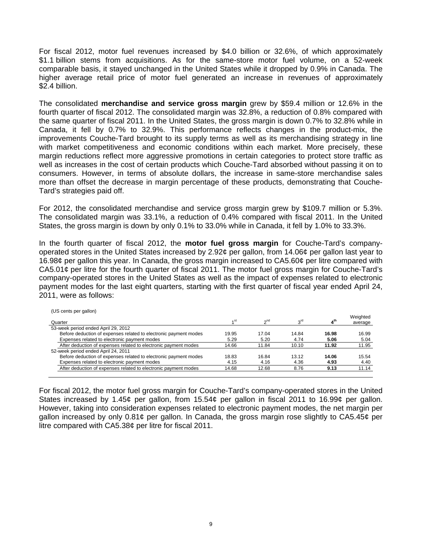For fiscal 2012, motor fuel revenues increased by \$4.0 billion or 32.6%, of which approximately \$1.1 billion stems from acquisitions. As for the same-store motor fuel volume, on a 52-week comparable basis, it stayed unchanged in the United States while it dropped by 0.9% in Canada. The higher average retail price of motor fuel generated an increase in revenues of approximately \$2.4 billion.

The consolidated **merchandise and service gross margin** grew by \$59.4 million or 12.6% in the fourth quarter of fiscal 2012. The consolidated margin was 32.8%, a reduction of 0.8% compared with the same quarter of fiscal 2011. In the United States, the gross margin is down 0.7% to 32.8% while in Canada, it fell by 0.7% to 32.9%. This performance reflects changes in the product-mix, the improvements Couche-Tard brought to its supply terms as well as its merchandising strategy in line with market competitiveness and economic conditions within each market. More precisely, these margin reductions reflect more aggressive promotions in certain categories to protect store traffic as well as increases in the cost of certain products which Couche-Tard absorbed without passing it on to consumers. However, in terms of absolute dollars, the increase in same-store merchandise sales more than offset the decrease in margin percentage of these products, demonstrating that Couche-Tard's strategies paid off.

For 2012, the consolidated merchandise and service gross margin grew by \$109.7 million or 5.3%. The consolidated margin was 33.1%, a reduction of 0.4% compared with fiscal 2011. In the United States, the gross margin is down by only 0.1% to 33.0% while in Canada, it fell by 1.0% to 33.3%.

In the fourth quarter of fiscal 2012, the **motor fuel gross margin** for Couche-Tard's companyoperated stores in the United States increased by 2.92¢ per gallon, from 14.06¢ per gallon last year to 16.98¢ per gallon this year. In Canada, the gross margin increased to CA5.60¢ per litre compared with CA5.01¢ per litre for the fourth quarter of fiscal 2011. The motor fuel gross margin for Couche-Tard's company-operated stores in the United States as well as the impact of expenses related to electronic payment modes for the last eight quarters, starting with the first quarter of fiscal year ended April 24, 2011, were as follows:

| (US cents per gallon)<br>Quarter                                 | 4 SI  | $\sim$ <sup>nd</sup> | $3^{\text{rd}}$ | ،th   | Weighted<br>average |
|------------------------------------------------------------------|-------|----------------------|-----------------|-------|---------------------|
| 53-week period ended April 29, 2012                              |       |                      |                 |       |                     |
| Before deduction of expenses related to electronic payment modes | 19.95 | 17.04                | 14.84           | 16.98 | 16.99               |
| Expenses related to electronic payment modes                     | 5.29  | 5.20                 | 4.74            | 5.06  | 5.04                |
| After deduction of expenses related to electronic payment modes  | 14.66 | 11.84                | 10.10           | 11.92 | 11.95               |
| 52-week period ended April 24, 2011                              |       |                      |                 |       |                     |
| Before deduction of expenses related to electronic payment modes | 18.83 | 16.84                | 13.12           | 14.06 | 15.54               |
| Expenses related to electronic payment modes                     | 4.15  | 4.16                 | 4.36            | 4.93  | 4.40                |
| After deduction of expenses related to electronic payment modes  | 14.68 | 12.68                | 8.76            | 9.13  | 11.14               |

For fiscal 2012, the motor fuel gross margin for Couche-Tard's company-operated stores in the United States increased by 1.45¢ per gallon, from 15.54¢ per gallon in fiscal 2011 to 16.99¢ per gallon. However, taking into consideration expenses related to electronic payment modes, the net margin per gallon increased by only 0.81¢ per gallon. In Canada, the gross margin rose slightly to CA5.45¢ per litre compared with CA5.38¢ per litre for fiscal 2011.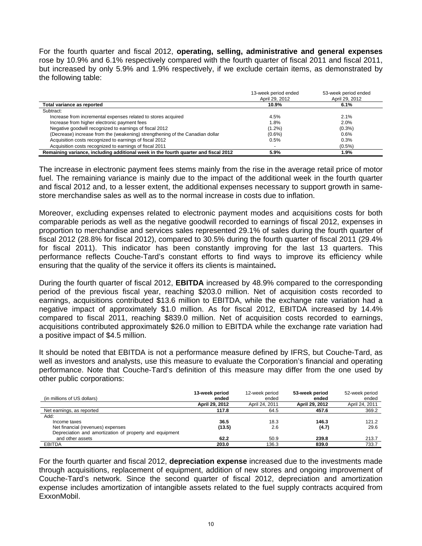For the fourth quarter and fiscal 2012, **operating, selling, administrative and general expenses** rose by 10.9% and 6.1% respectively compared with the fourth quarter of fiscal 2011 and fiscal 2011, but increased by only 5.9% and 1.9% respectively, if we exclude certain items, as demonstrated by the following table:

|                                                                                     | 13-week period ended<br>April 29, 2012 | 53-week period ended<br>April 29, 2012 |
|-------------------------------------------------------------------------------------|----------------------------------------|----------------------------------------|
| Total variance as reported                                                          | 10.9%                                  | 6.1%                                   |
| Subtract:                                                                           |                                        |                                        |
| Increase from incremental expenses related to stores acquired                       | 4.5%                                   | 2.1%                                   |
| Increase from higher electronic payment fees                                        | 1.8%                                   | 2.0%                                   |
| Negative goodwill recognized to earnings of fiscal 2012                             | $(1.2\%)$                              | $(0.3\%)$                              |
| (Decrease) increase from the (weakening) strengthening of the Canadian dollar       | $(0.6\%)$                              | 0.6%                                   |
| Acquisition costs recognized to earnings of fiscal 2012                             | 0.5%                                   | 0.3%                                   |
| Acquisition costs recognized to earnings of fiscal 2011                             |                                        | $(0.5\%)$                              |
| Remaining variance, including additional week in the fourth quarter and fiscal 2012 | 5.9%                                   | 1.9%                                   |

The increase in electronic payment fees stems mainly from the rise in the average retail price of motor fuel. The remaining variance is mainly due to the impact of the additional week in the fourth quarter and fiscal 2012 and, to a lesser extent, the additional expenses necessary to support growth in samestore merchandise sales as well as to the normal increase in costs due to inflation.

Moreover, excluding expenses related to electronic payment modes and acquisitions costs for both comparable periods as well as the negative goodwill recorded to earnings of fiscal 2012, expenses in proportion to merchandise and services sales represented 29.1% of sales during the fourth quarter of fiscal 2012 (28.8% for fiscal 2012), compared to 30.5% during the fourth quarter of fiscal 2011 (29.4% for fiscal 2011). This indicator has been constantly improving for the last 13 quarters. This performance reflects Couche-Tard's constant efforts to find ways to improve its efficiency while ensuring that the quality of the service it offers its clients is maintained**.** 

During the fourth quarter of fiscal 2012, **EBITDA** increased by 48.9% compared to the corresponding period of the previous fiscal year, reaching \$203.0 million. Net of acquisition costs recorded to earnings, acquisitions contributed \$13.6 million to EBITDA, while the exchange rate variation had a negative impact of approximately \$1.0 million. As for fiscal 2012, EBITDA increased by 14.4% compared to fiscal 2011, reaching \$839.0 million. Net of acquisition costs recorded to earnings, acquisitions contributed approximately \$26.0 million to EBITDA while the exchange rate variation had a positive impact of \$4.5 million.

It should be noted that EBITDA is not a performance measure defined by IFRS, but Couche-Tard, as well as investors and analysts, use this measure to evaluate the Corporation's financial and operating performance. Note that Couche-Tard's definition of this measure may differ from the one used by other public corporations:

| (in millions of US dollars)                             | 13-week period<br>ended | 12-week period<br>ended | 53-week period<br>ended | 52-week period<br>ended |
|---------------------------------------------------------|-------------------------|-------------------------|-------------------------|-------------------------|
|                                                         | April 29, 2012          | April 24, 2011          | April 29, 2012          | April 24, 2011          |
| Net earnings, as reported                               | 117.8                   | 64.5                    | 457.6                   | 369.2                   |
| Add:                                                    |                         |                         |                         |                         |
| Income taxes                                            | 36.5                    | 18.3                    | 146.3                   | 121.2                   |
| Net financial (revenues) expenses                       | (13.5)                  | 2.6                     | (4.7)                   | 29.6                    |
| Depreciation and amortization of property and equipment |                         |                         |                         |                         |
| and other assets                                        | 62.2                    | 50.9                    | 239.8                   | 213.7                   |
| <b>EBITDA</b>                                           | 203.0                   | 136.3                   | 839.0                   | 733.7                   |

For the fourth quarter and fiscal 2012, **depreciation expense** increased due to the investments made through acquisitions, replacement of equipment, addition of new stores and ongoing improvement of Couche-Tard's network. Since the second quarter of fiscal 2012, depreciation and amortization expense includes amortization of intangible assets related to the fuel supply contracts acquired from ExxonMobil.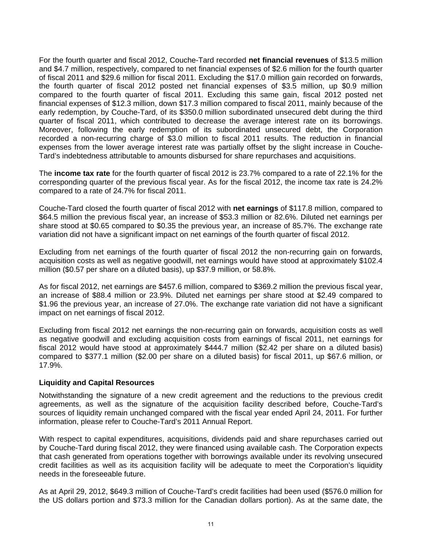For the fourth quarter and fiscal 2012, Couche-Tard recorded **net financial revenues** of \$13.5 million and \$4.7 million, respectively, compared to net financial expenses of \$2.6 million for the fourth quarter of fiscal 2011 and \$29.6 million for fiscal 2011. Excluding the \$17.0 million gain recorded on forwards, the fourth quarter of fiscal 2012 posted net financial expenses of \$3.5 million, up \$0.9 million compared to the fourth quarter of fiscal 2011. Excluding this same gain, fiscal 2012 posted net financial expenses of \$12.3 million, down \$17.3 million compared to fiscal 2011, mainly because of the early redemption, by Couche-Tard, of its \$350.0 million subordinated unsecured debt during the third quarter of fiscal 2011, which contributed to decrease the average interest rate on its borrowings. Moreover, following the early redemption of its subordinated unsecured debt, the Corporation recorded a non-recurring charge of \$3.0 million to fiscal 2011 results. The reduction in financial expenses from the lower average interest rate was partially offset by the slight increase in Couche-Tard's indebtedness attributable to amounts disbursed for share repurchases and acquisitions.

The **income tax rate** for the fourth quarter of fiscal 2012 is 23.7% compared to a rate of 22.1% for the corresponding quarter of the previous fiscal year. As for the fiscal 2012, the income tax rate is 24.2% compared to a rate of 24.7% for fiscal 2011.

Couche-Tard closed the fourth quarter of fiscal 2012 with **net earnings** of \$117.8 million, compared to \$64.5 million the previous fiscal year, an increase of \$53.3 million or 82.6%. Diluted net earnings per share stood at \$0.65 compared to \$0.35 the previous year, an increase of 85.7%. The exchange rate variation did not have a significant impact on net earnings of the fourth quarter of fiscal 2012.

Excluding from net earnings of the fourth quarter of fiscal 2012 the non-recurring gain on forwards, acquisition costs as well as negative goodwill, net earnings would have stood at approximately \$102.4 million (\$0.57 per share on a diluted basis), up \$37.9 million, or 58.8%.

As for fiscal 2012, net earnings are \$457.6 million, compared to \$369.2 million the previous fiscal year, an increase of \$88.4 million or 23.9%. Diluted net earnings per share stood at \$2.49 compared to \$1.96 the previous year, an increase of 27.0%. The exchange rate variation did not have a significant impact on net earnings of fiscal 2012.

Excluding from fiscal 2012 net earnings the non-recurring gain on forwards, acquisition costs as well as negative goodwill and excluding acquisition costs from earnings of fiscal 2011, net earnings for fiscal 2012 would have stood at approximately \$444.7 million (\$2.42 per share on a diluted basis) compared to \$377.1 million (\$2.00 per share on a diluted basis) for fiscal 2011, up \$67.6 million, or 17.9%.

# **Liquidity and Capital Resources**

Notwithstanding the signature of a new credit agreement and the reductions to the previous credit agreements, as well as the signature of the acquisition facility described before, Couche-Tard's sources of liquidity remain unchanged compared with the fiscal year ended April 24, 2011. For further information, please refer to Couche-Tard's 2011 Annual Report.

With respect to capital expenditures, acquisitions, dividends paid and share repurchases carried out by Couche-Tard during fiscal 2012, they were financed using available cash. The Corporation expects that cash generated from operations together with borrowings available under its revolving unsecured credit facilities as well as its acquisition facility will be adequate to meet the Corporation's liquidity needs in the foreseeable future.

As at April 29, 2012, \$649.3 million of Couche-Tard's credit facilities had been used (\$576.0 million for the US dollars portion and \$73.3 million for the Canadian dollars portion). As at the same date, the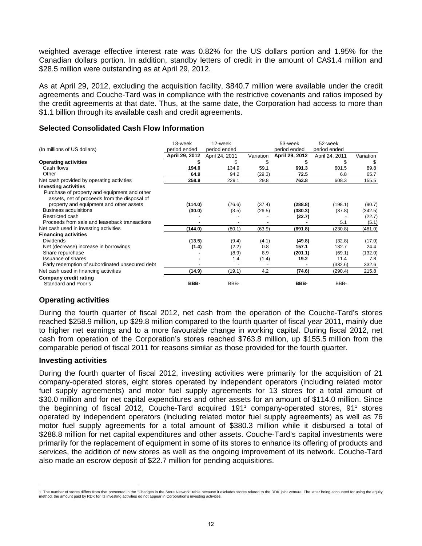weighted average effective interest rate was 0.82% for the US dollars portion and 1.95% for the Canadian dollars portion. In addition, standby letters of credit in the amount of CA\$1.4 million and \$28.5 million were outstanding as at April 29, 2012.

As at April 29, 2012, excluding the acquisition facility, \$840.7 million were available under the credit agreements and Couche-Tard was in compliance with the restrictive covenants and ratios imposed by the credit agreements at that date. Thus, at the same date, the Corporation had access to more than \$1.1 billion through its available cash and credit agreements.

# **Selected Consolidated Cash Flow Information**

|                                                                                              | 13-week        | 12-week        |           | 53-week        | 52-week        |           |
|----------------------------------------------------------------------------------------------|----------------|----------------|-----------|----------------|----------------|-----------|
| (In millions of US dollars)                                                                  | period ended   | period ended   |           | period ended   | period ended   |           |
|                                                                                              | April 29, 2012 | April 24, 2011 | Variation | April 29, 2012 | April 24, 2011 | Variation |
| <b>Operating activities</b>                                                                  |                | \$             | \$        |                |                | \$        |
| Cash flows                                                                                   | 194.0          | 134.9          | 59.1      | 691.3          | 601.5          | 89.8      |
| Other                                                                                        | 64.9           | 94.2           | (29.3)    | 72.5           | 6.8            | 65.7      |
| Net cash provided by operating activities                                                    | 258.9          | 229.1          | 29.8      | 763.8          | 608.3          | 155.5     |
| <b>Investing activities</b>                                                                  |                |                |           |                |                |           |
| Purchase of property and equipment and other<br>assets, net of proceeds from the disposal of |                |                |           |                |                |           |
| property and equipment and other assets                                                      | (114.0)        | (76.6)         | (37.4)    | (288.8)        | (198.1)        | (90.7)    |
| Business acquisitions                                                                        | (30.0)         | (3.5)          | (26.5)    | (380.3)        | (37.8)         | (342.5)   |
| Restricted cash                                                                              |                |                |           | (22.7)         |                | (22.7)    |
| Proceeds from sale and leaseback transactions                                                |                |                |           |                | 5.1            | (5.1)     |
| Net cash used in investing activities                                                        | (144.0)        | (80.1)         | (63.9)    | (691.8)        | (230.8)        | (461.0)   |
| <b>Financing activities</b>                                                                  |                |                |           |                |                |           |
| <b>Dividends</b>                                                                             | (13.5)         | (9.4)          | (4.1)     | (49.8)         | (32.8)         | (17.0)    |
| Net (decrease) increase in borrowings                                                        | (1.4)          | (2.2)          | 0.8       | 157.1          | 132.7          | 24.4      |
| Share repurchase                                                                             |                | (8.9)          | 8.9       | (201.1)        | (69.1)         | (132.0)   |
| <b>Issuance of shares</b>                                                                    |                | 1.4            | (1.4)     | 19.2           | 11.4           | 7.8       |
| Early redemption of subordinated unsecured debt                                              |                |                |           |                | (332.6)        | 332.6     |
| Net cash used in financing activities                                                        | (14.9)         | (19.1)         | 4.2       | (74.6)         | (290.4)        | 215.8     |
| Company credit rating                                                                        |                |                |           |                |                |           |
| Standard and Poor's                                                                          | BBB-           | BBB-           |           | BBB-           | BBB-           |           |

# **Operating activities**

During the fourth quarter of fiscal 2012, net cash from the operation of the Couche-Tard's stores reached \$258.9 million, up \$29.8 million compared to the fourth quarter of fiscal year 2011, mainly due to higher net earnings and to a more favourable change in working capital. During fiscal 2012, net cash from operation of the Corporation's stores reached \$763.8 million, up \$155.5 million from the comparable period of fiscal 2011 for reasons similar as those provided for the fourth quarter.

# **Investing activities**

During the fourth quarter of fiscal 2012, investing activities were primarily for the acquisition of 21 company-operated stores, eight stores operated by independent operators (including related motor fuel supply agreements) and motor fuel supply agreements for 13 stores for a total amount of \$30.0 million and for net capital expenditures and other assets for an amount of \$114.0 million. Since the beginning of fiscal 2012, Couche-Tard acquired  $191<sup>1</sup>$  company-operated stores,  $91<sup>1</sup>$  stores operated by independent operators (including related motor fuel supply agreements) as well as 76 motor fuel supply agreements for a total amount of \$380.3 million while it disbursed a total of \$288.8 million for net capital expenditures and other assets. Couche-Tard's capital investments were primarily for the replacement of equipment in some of its stores to enhance its offering of products and services, the addition of new stores as well as the ongoing improvement of its network. Couche-Tard also made an escrow deposit of \$22.7 million for pending acquisitions.

<sup>1&</sup>lt;br>The number of stores differs from that presented in the "Changes in the Store Network" table because it excludes stores related to the RDK joint venture. The latter being accounted for using the equity method, the amount paid by RDK for its investing activities do not appear in Corporation's investing activities.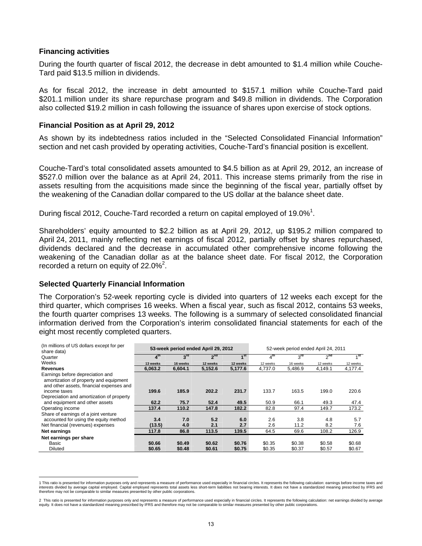## **Financing activities**

During the fourth quarter of fiscal 2012, the decrease in debt amounted to \$1.4 million while Couche-Tard paid \$13.5 million in dividends.

As for fiscal 2012, the increase in debt amounted to \$157.1 million while Couche-Tard paid \$201.1 million under its share repurchase program and \$49.8 million in dividends. The Corporation also collected \$19.2 million in cash following the issuance of shares upon exercise of stock options.

## **Financial Position as at April 29, 2012**

As shown by its indebtedness ratios included in the "Selected Consolidated Financial Information" section and net cash provided by operating activities, Couche-Tard's financial position is excellent.

Couche-Tard's total consolidated assets amounted to \$4.5 billion as at April 29, 2012, an increase of \$527.0 million over the balance as at April 24, 2011. This increase stems primarily from the rise in assets resulting from the acquisitions made since the beginning of the fiscal year, partially offset by the weakening of the Canadian dollar compared to the US dollar at the balance sheet date.

During fiscal 2012, Couche-Tard recorded a return on capital employed of 19.0%<sup>1</sup>.

Shareholders' equity amounted to \$2.2 billion as at April 29, 2012, up \$195.2 million compared to April 24, 2011, mainly reflecting net earnings of fiscal 2012, partially offset by shares repurchased, dividends declared and the decrease in accumulated other comprehensive income following the weakening of the Canadian dollar as at the balance sheet date. For fiscal 2012, the Corporation recorded a return on equity of 22.0%<sup>2</sup>.

# **Selected Quarterly Financial Information**

The Corporation's 52-week reporting cycle is divided into quarters of 12 weeks each except for the third quarter, which comprises 16 weeks. When a fiscal year, such as fiscal 2012, contains 53 weeks, the fourth quarter comprises 13 weeks. The following is a summary of selected consolidated financial information derived from the Corporation's interim consolidated financial statements for each of the eight most recently completed quarters.

| (In millions of US dollars except for per                                                                              |                 |                 | 53-week period ended April 29, 2012 |                 |                 |          | 52-week period ended April 24, 2011 |          |
|------------------------------------------------------------------------------------------------------------------------|-----------------|-----------------|-------------------------------------|-----------------|-----------------|----------|-------------------------------------|----------|
| share data)                                                                                                            |                 |                 |                                     |                 |                 |          |                                     |          |
| Quarter                                                                                                                | 4 <sup>th</sup> | $3^{\text{rd}}$ | 2 <sup>nd</sup>                     | 1 <sup>st</sup> | 4 <sup>th</sup> | $3^{rd}$ | $2^{nd}$                            | $_4$ st  |
| Weeks                                                                                                                  | 13 weeks        | 16 weeks        | 12 weeks                            | 12 weeks        | 12 weeks        | 16 weeks | 12 weeks                            | 12 weeks |
| <b>Revenues</b>                                                                                                        | 6.063.2         | 6.604.1         | 5,152.6                             | 5.177.6         | 4.737.0         | 5.486.9  | 4.149.1                             | 4.177.4  |
| Earnings before depreciation and<br>amortization of property and equipment<br>and other assets, financial expenses and |                 |                 |                                     |                 |                 |          |                                     |          |
| income taxes                                                                                                           | 199.6           | 185.9           | 202.2                               | 231.7           | 133.7           | 163.5    | 199.0                               | 220.6    |
| Depreciation and amortization of property                                                                              |                 |                 |                                     |                 |                 |          |                                     |          |
| and equipment and other assets                                                                                         | 62.2            | 75.7            | 52.4                                | 49.5            | 50.9            | 66.1     | 49.3                                | 47.4     |
| Operating income                                                                                                       | 137.4           | 110.2           | 147.8                               | 182.2           | 82.8            | 97.4     | 149.7                               | 173.2    |
| Share of earnings of a joint venture                                                                                   |                 |                 |                                     |                 |                 |          |                                     |          |
| accounted for using the equity method                                                                                  | 3.4             | 7.0             | 5.2                                 | 6.0             | 2.6             | 3.8      | 4.8                                 | 5.7      |
| Net financial (revenues) expenses                                                                                      | (13.5)          | 4.0             | 2.1                                 | 2.7             | 2.6             | 11.2     | 8.2                                 | 7.6      |
| Net earnings                                                                                                           | 117.8           | 86.8            | 113.5                               | 139.5           | 64.5            | 69.6     | 108.2                               | 126.9    |
| Net earnings per share                                                                                                 |                 |                 |                                     |                 |                 |          |                                     |          |
| Basic                                                                                                                  | \$0.66          | \$0.49          | \$0.62                              | \$0.76          | \$0.35          | \$0.38   | \$0.58                              | \$0.68   |
| Diluted                                                                                                                | \$0.65          | \$0.48          | \$0.61                              | \$0.75          | \$0.35          | \$0.37   | \$0.57                              | \$0.67   |

 $\overline{a}$ 1 This ratio is presented for information purposes only and represents a measure of performance used especially in financial circles. It represents the following calculation: earnings before income taxes and interests divided by average capital employed. Capital employed represents total assets less short-term liabilities not bearing interests. It does not have a standardized meaning prescribed by IFRS and<br>therefore may not be

<sup>2</sup> This ratio is presented for information purposes only and represents a measure of performance used especially in financial circles. It represents the following calculation: net earnings divided by average equity. It does not have a standardized meaning prescribed by IFRS and therefore may not be comparable to similar measures presented by other public corporations.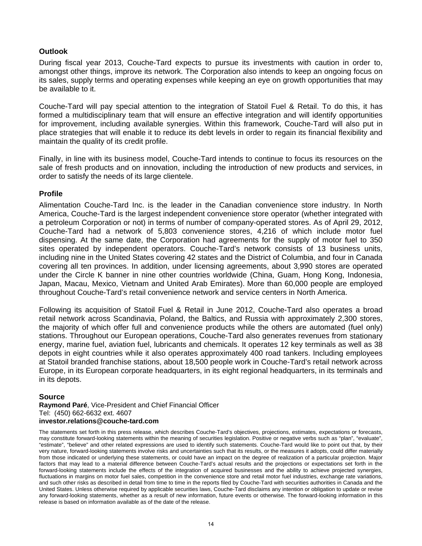# **Outlook**

During fiscal year 2013, Couche-Tard expects to pursue its investments with caution in order to, amongst other things, improve its network. The Corporation also intends to keep an ongoing focus on its sales, supply terms and operating expenses while keeping an eye on growth opportunities that may be available to it.

Couche-Tard will pay special attention to the integration of Statoil Fuel & Retail. To do this, it has formed a multidisciplinary team that will ensure an effective integration and will identify opportunities for improvement, including available synergies. Within this framework, Couche-Tard will also put in place strategies that will enable it to reduce its debt levels in order to regain its financial flexibility and maintain the quality of its credit profile.

Finally, in line with its business model, Couche-Tard intends to continue to focus its resources on the sale of fresh products and on innovation, including the introduction of new products and services, in order to satisfy the needs of its large clientele.

# **Profile**

Alimentation Couche-Tard Inc. is the leader in the Canadian convenience store industry. In North America, Couche-Tard is the largest independent convenience store operator (whether integrated with a petroleum Corporation or not) in terms of number of company-operated stores. As of April 29, 2012, Couche-Tard had a network of 5,803 convenience stores, 4,216 of which include motor fuel dispensing. At the same date, the Corporation had agreements for the supply of motor fuel to 350 sites operated by independent operators. Couche-Tard's network consists of 13 business units, including nine in the United States covering 42 states and the District of Columbia, and four in Canada covering all ten provinces. In addition, under licensing agreements, about 3,990 stores are operated under the Circle K banner in nine other countries worldwide (China, Guam, Hong Kong, Indonesia, Japan, Macau, Mexico, Vietnam and United Arab Emirates). More than 60,000 people are employed throughout Couche-Tard's retail convenience network and service centers in North America.

Following its acquisition of Statoil Fuel & Retail in June 2012, Couche-Tard also operates a broad retail network across Scandinavia, Poland, the Baltics, and Russia with approximately 2,300 stores, the majority of which offer full and convenience products while the others are automated (fuel only) stations. Throughout our European operations, Couche-Tard also generates revenues from stationary energy, marine fuel, aviation fuel, lubricants and chemicals. It operates 12 key terminals as well as 38 depots in eight countries while it also operates approximately 400 road tankers. Including employees at Statoil branded franchise stations, about 18,500 people work in Couche-Tard's retail network across Europe, in its European corporate headquarters, in its eight regional headquarters, in its terminals and in its depots.

# **Source**

**Raymond Paré**, Vice-President and Chief Financial Officer Tel: (450) 662-6632 ext. 4607 **investor.relations@couche-tard.com** 

The statements set forth in this press release, which describes Couche-Tard's objectives, projections, estimates, expectations or forecasts, may constitute forward-looking statements within the meaning of securities legislation. Positive or negative verbs such as "plan", "evaluate", "estimate", "believe" and other related expressions are used to identify such statements. Couche-Tard would like to point out that, by their very nature, forward-looking statements involve risks and uncertainties such that its results, or the measures it adopts, could differ materially from those indicated or underlying these statements, or could have an impact on the degree of realization of a particular projection. Major factors that may lead to a material difference between Couche-Tard's actual results and the projections or expectations set forth in the forward-looking statements include the effects of the integration of acquired businesses and the ability to achieve projected synergies, fluctuations in margins on motor fuel sales, competition in the convenience store and retail motor fuel industries, exchange rate variations, and such other risks as described in detail from time to time in the reports filed by Couche-Tard with securities authorities in Canada and the United States. Unless otherwise required by applicable securities laws, Couche-Tard disclaims any intention or obligation to update or revise any forward-looking statements, whether as a result of new information, future events or otherwise. The forward-looking information in this release is based on information available as of the date of the release.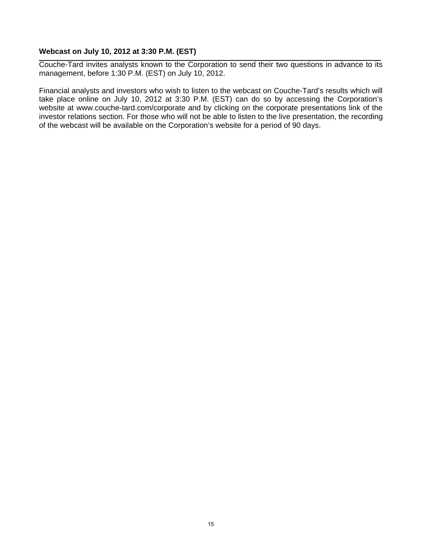# **Webcast on July 10, 2012 at 3:30 P.M. (EST)**

Couche-Tard invites analysts known to the Corporation to send their two questions in advance to its management, before 1:30 P.M. (EST) on July 10, 2012.

Financial analysts and investors who wish to listen to the webcast on Couche-Tard's results which will take place online on July 10, 2012 at 3:30 P.M. (EST) can do so by accessing the Corporation's website at www.couche-tard.com/corporate and by clicking on the corporate presentations link of the investor relations section. For those who will not be able to listen to the live presentation, the recording of the webcast will be available on the Corporation's website for a period of 90 days.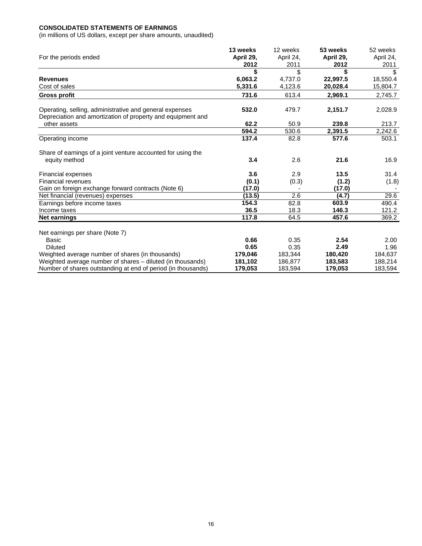## **CONSOLIDATED STATEMENTS OF EARNINGS**

(in millions of US dollars, except per share amounts, unaudited)

|                                                                                                                        | 13 weeks  | 12 weeks  | 53 weeks  | 52 weeks  |
|------------------------------------------------------------------------------------------------------------------------|-----------|-----------|-----------|-----------|
| For the periods ended                                                                                                  | April 29, | April 24, | April 29, | April 24, |
|                                                                                                                        | 2012      | 2011      | 2012      | 2011      |
|                                                                                                                        | \$        | \$        | \$        | \$        |
| <b>Revenues</b>                                                                                                        | 6,063.2   | 4,737.0   | 22,997.5  | 18,550.4  |
| Cost of sales                                                                                                          | 5,331.6   | 4,123.6   | 20,028.4  | 15,804.7  |
| <b>Gross profit</b>                                                                                                    | 731.6     | 613.4     | 2,969.1   | 2,745.7   |
| Operating, selling, administrative and general expenses<br>Depreciation and amortization of property and equipment and | 532.0     | 479.7     | 2,151.7   | 2,028.9   |
| other assets                                                                                                           | 62.2      | 50.9      | 239.8     | 213.7     |
|                                                                                                                        | 594.2     | 530.6     | 2,391.5   | 2,242.6   |
| Operating income                                                                                                       | 137.4     | 82.8      | 577.6     | 503.1     |
| Share of earnings of a joint venture accounted for using the<br>equity method                                          | 3.4       | 2.6       | 21.6      | 16.9      |
| Financial expenses                                                                                                     | 3.6       | 2.9       | 13.5      | 31.4      |
| <b>Financial revenues</b>                                                                                              | (0.1)     | (0.3)     | (1.2)     | (1.8)     |
| Gain on foreign exchange forward contracts (Note 6)                                                                    | (17.0)    |           | (17.0)    |           |
| Net financial (revenues) expenses                                                                                      | (13.5)    | 2.6       | (4.7)     | 29.6      |
| Earnings before income taxes                                                                                           | 154.3     | 82.8      | 603.9     | 490.4     |
| Income taxes                                                                                                           | 36.5      | 18.3      | 146.3     | 121.2     |
| Net earnings                                                                                                           | 117.8     | 64.5      | 457.6     | 369.2     |
| Net earnings per share (Note 7)                                                                                        |           |           |           |           |
| <b>Basic</b>                                                                                                           | 0.66      | 0.35      | 2.54      | 2.00      |
| <b>Diluted</b>                                                                                                         | 0.65      | 0.35      | 2.49      | 1.96      |
| Weighted average number of shares (in thousands)                                                                       | 179,046   | 183,344   | 180,420   | 184,637   |
| Weighted average number of shares - diluted (in thousands)                                                             | 181,102   | 186.877   | 183,583   | 188,214   |
| Number of shares outstanding at end of period (in thousands)                                                           | 179,053   | 183,594   | 179,053   | 183,594   |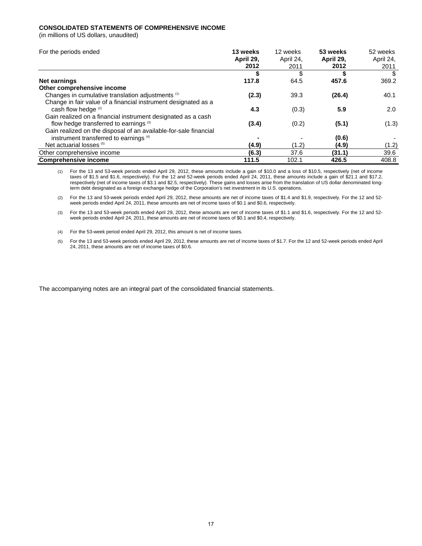## **CONSOLIDATED STATEMENTS OF COMPREHENSIVE INCOME**

(in millions of US dollars, unaudited)

| For the periods ended                                            | 13 weeks<br>April 29,<br>2012 | 12 weeks<br>April 24,<br>2011 | 53 weeks<br>April 29,<br>2012 | 52 weeks<br>April 24,<br>2011 |
|------------------------------------------------------------------|-------------------------------|-------------------------------|-------------------------------|-------------------------------|
|                                                                  |                               | \$                            |                               | \$                            |
| Net earnings                                                     | 117.8                         | 64.5                          | 457.6                         | 369.2                         |
| Other comprehensive income                                       |                               |                               |                               |                               |
| Changes in cumulative translation adjustments <sup>(1)</sup>     | (2.3)                         | 39.3                          | (26.4)                        | 40.1                          |
| Change in fair value of a financial instrument designated as a   |                               |                               |                               |                               |
| cash flow hedge (2)                                              | 4.3                           | (0.3)                         | 5.9                           | 2.0                           |
| Gain realized on a financial instrument designated as a cash     |                               |                               |                               |                               |
| flow hedge transferred to earnings <sup>(3)</sup>                | (3.4)                         | (0.2)                         | (5.1)                         | (1.3)                         |
| Gain realized on the disposal of an available-for-sale financial |                               |                               |                               |                               |
| instrument transferred to earnings <sup>(4)</sup>                |                               |                               | (0.6)                         |                               |
| Net actuarial losses <sup>(5)</sup>                              | (4.9)                         | (1.2)                         | (4.9)                         | (1.2)                         |
| Other comprehensive income                                       | (6.3)                         | 37.6                          | (31.1)                        | 39.6                          |
| <b>Comprehensive income</b>                                      | 111.5                         | 102.1                         | 426.5                         | 408.8                         |

(1) For the 13 and 53-week periods ended April 29, 2012, these amounts include a gain of \$10.0 and a loss of \$10.5, respectively (net of income taxes of \$1.5 and \$1.6, respectively). For the 12 and 52-week periods ended April 24, 2011, these amounts include a gain of \$21.1 and \$17.2, respectively (net of income taxes of \$3.1 and \$2.5, respectively). These gains and losses arise from the translation of US dollar denominated longterm debt designated as a foreign exchange hedge of the Corporation's net investment in its U.S. operations.

(2) For the 13 and 53-week periods ended April 29, 2012, these amounts are net of income taxes of \$1.4 and \$1.9, respectively. For the 12 and 52 week periods ended April 24, 2011, these amounts are net of income taxes of \$0.1 and \$0.6, respectively.

(3) For the 13 and 53-week periods ended April 29, 2012, these amounts are net of income taxes of \$1.1 and \$1.6, respectively. For the 12 and 52 week periods ended April 24, 2011, these amounts are net of income taxes of \$0.1 and \$0.4, respectively.

(4) For the 53-week period ended April 29, 2012, this amount is net of income taxes.

(5) For the 13 and 53-week periods ended April 29, 2012, these amounts are net of income taxes of \$1.7. For the 12 and 52-week periods ended April 24, 2011, these amounts are net of income taxes of \$0.6.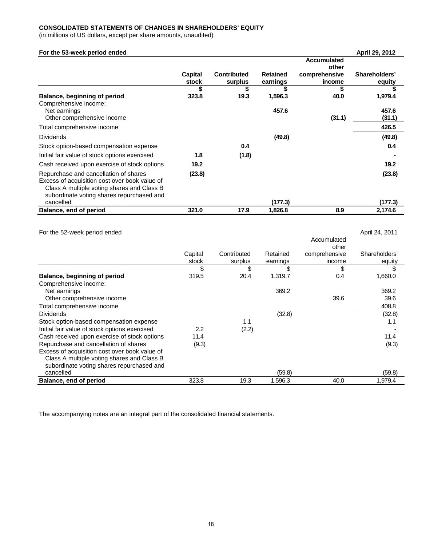## **CONSOLIDATED STATEMENTS OF CHANGES IN SHAREHOLDERS' EQUITY**

(in millions of US dollars, except per share amounts, unaudited)

| For the 53-week period ended                                                                                                                                                      |                  |                               |                             |                                  | April 29, 2012          |
|-----------------------------------------------------------------------------------------------------------------------------------------------------------------------------------|------------------|-------------------------------|-----------------------------|----------------------------------|-------------------------|
|                                                                                                                                                                                   |                  |                               |                             | Accumulated                      |                         |
|                                                                                                                                                                                   | Capital<br>stock | <b>Contributed</b><br>surplus | <b>Retained</b><br>earnings | other<br>comprehensive<br>income | Shareholders'<br>equity |
|                                                                                                                                                                                   | \$               | \$                            | \$                          | \$                               | S                       |
| Balance, beginning of period                                                                                                                                                      | 323.8            | 19.3                          | 1,596.3                     | 40.0                             | 1,979.4                 |
| Comprehensive income:<br>Net earnings<br>Other comprehensive income                                                                                                               |                  |                               | 457.6                       | (31.1)                           | 457.6<br>(31.1)         |
| Total comprehensive income                                                                                                                                                        |                  |                               |                             |                                  | 426.5                   |
| <b>Dividends</b>                                                                                                                                                                  |                  |                               | (49.8)                      |                                  | (49.8)                  |
| Stock option-based compensation expense                                                                                                                                           |                  | 0.4                           |                             |                                  | 0.4                     |
| Initial fair value of stock options exercised                                                                                                                                     | 1.8              | (1.8)                         |                             |                                  |                         |
| Cash received upon exercise of stock options                                                                                                                                      | 19.2             |                               |                             |                                  | 19.2                    |
| Repurchase and cancellation of shares<br>Excess of acquisition cost over book value of<br>Class A multiple voting shares and Class B<br>subordinate voting shares repurchased and | (23.8)           |                               |                             |                                  | (23.8)                  |
| cancelled                                                                                                                                                                         |                  | 17.9                          | (177.3)                     |                                  | (177.3)                 |
| Balance, end of period                                                                                                                                                            | 321.0            |                               | 1,826.8                     | 8.9                              | 2,174.6                 |

| For the 52-week period ended                  |         |             |          |               | April 24, 2011 |
|-----------------------------------------------|---------|-------------|----------|---------------|----------------|
|                                               |         |             |          | Accumulated   |                |
|                                               |         |             |          | other         |                |
|                                               | Capital | Contributed | Retained | comprehensive | Shareholders'  |
|                                               | stock   | surplus     | earnings | income        | equity         |
|                                               | \$      | \$          | \$       | \$            | \$             |
| <b>Balance, beginning of period</b>           | 319.5   | 20.4        | 1,319.7  | 0.4           | 1,660.0        |
| Comprehensive income:                         |         |             |          |               |                |
| Net earnings                                  |         |             | 369.2    |               | 369.2          |
| Other comprehensive income                    |         |             |          | 39.6          | 39.6           |
| Total comprehensive income                    |         |             |          |               | 408.8          |
| <b>Dividends</b>                              |         |             | (32.8)   |               | (32.8)         |
| Stock option-based compensation expense       |         | 1.1         |          |               | 1.1            |
| Initial fair value of stock options exercised | 2.2     | (2.2)       |          |               |                |
| Cash received upon exercise of stock options  | 11.4    |             |          |               | 11.4           |
| Repurchase and cancellation of shares         | (9.3)   |             |          |               | (9.3)          |
| Excess of acquisition cost over book value of |         |             |          |               |                |
| Class A multiple voting shares and Class B    |         |             |          |               |                |
| subordinate voting shares repurchased and     |         |             |          |               |                |
| cancelled                                     |         |             | (59.8)   |               | (59.8)         |
| Balance, end of period                        | 323.8   | 19.3        | 1,596.3  | 40.0          | 1,979.4        |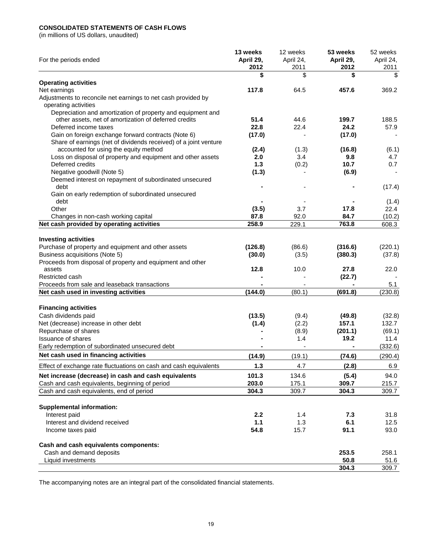## **CONSOLIDATED STATEMENTS OF CASH FLOWS**

(in millions of US dollars, unaudited)

|                                                                   | 13 weeks  | 12 weeks  | 53 weeks                                                                                                                                                                                                                                                                            | 52 weeks      |
|-------------------------------------------------------------------|-----------|-----------|-------------------------------------------------------------------------------------------------------------------------------------------------------------------------------------------------------------------------------------------------------------------------------------|---------------|
| For the periods ended                                             | April 29, | April 24, | April 29,<br>2012<br>\$<br>457.6<br>199.7<br>24.2<br>(17.0)<br>(16.8)<br>9.8<br>10.7<br>(6.9)<br>17.8<br>84.7<br>763.8<br>(316.6)<br>(380.3)<br>27.8<br>(22.7)<br>(691.8)<br>(49.8)<br>157.1<br>(201.1)<br>19.2<br>(74.6)<br>(2.8)<br>(5.4)<br>309.7<br>304.3<br>7.3<br>6.1<br>91.1 | April 24,     |
|                                                                   | 2012      | 2011      |                                                                                                                                                                                                                                                                                     | 2011          |
|                                                                   | \$        | \$        |                                                                                                                                                                                                                                                                                     | \$            |
| <b>Operating activities</b><br>Net earnings                       | 117.8     | 64.5      |                                                                                                                                                                                                                                                                                     | 369.2         |
| Adjustments to reconcile net earnings to net cash provided by     |           |           |                                                                                                                                                                                                                                                                                     |               |
| operating activities                                              |           |           |                                                                                                                                                                                                                                                                                     |               |
| Depreciation and amortization of property and equipment and       |           |           |                                                                                                                                                                                                                                                                                     |               |
| other assets, net of amortization of deferred credits             | 51.4      | 44.6      |                                                                                                                                                                                                                                                                                     | 188.5         |
| Deferred income taxes                                             | 22.8      | 22.4      |                                                                                                                                                                                                                                                                                     | 57.9          |
| Gain on foreign exchange forward contracts (Note 6)               | (17.0)    |           |                                                                                                                                                                                                                                                                                     |               |
| Share of earnings (net of dividends received) of a joint venture  |           |           |                                                                                                                                                                                                                                                                                     |               |
| accounted for using the equity method                             | (2.4)     | (1.3)     |                                                                                                                                                                                                                                                                                     | (6.1)         |
| Loss on disposal of property and equipment and other assets       | 2.0       | 3.4       |                                                                                                                                                                                                                                                                                     | 4.7           |
| Deferred credits                                                  | $1.3$     | (0.2)     |                                                                                                                                                                                                                                                                                     | 0.7           |
| Negative goodwill (Note 5)                                        | (1.3)     |           |                                                                                                                                                                                                                                                                                     |               |
| Deemed interest on repayment of subordinated unsecured            |           |           |                                                                                                                                                                                                                                                                                     |               |
| debt                                                              |           |           |                                                                                                                                                                                                                                                                                     | (17.4)        |
| Gain on early redemption of subordinated unsecured                |           |           |                                                                                                                                                                                                                                                                                     |               |
| debt                                                              |           |           |                                                                                                                                                                                                                                                                                     | (1.4)         |
| Other                                                             | (3.5)     | 3.7       |                                                                                                                                                                                                                                                                                     | 22.4          |
| Changes in non-cash working capital                               | 87.8      | 92.0      |                                                                                                                                                                                                                                                                                     | (10.2)        |
| Net cash provided by operating activities                         | 258.9     | 229.1     |                                                                                                                                                                                                                                                                                     | 608.3         |
|                                                                   |           |           |                                                                                                                                                                                                                                                                                     |               |
| <b>Investing activities</b>                                       |           |           |                                                                                                                                                                                                                                                                                     |               |
| Purchase of property and equipment and other assets               | (126.8)   | (86.6)    |                                                                                                                                                                                                                                                                                     | (220.1)       |
| Business acquisitions (Note 5)                                    | (30.0)    | (3.5)     |                                                                                                                                                                                                                                                                                     | (37.8)        |
| Proceeds from disposal of property and equipment and other        | 12.8      | 10.0      |                                                                                                                                                                                                                                                                                     | 22.0          |
| assets<br>Restricted cash                                         |           |           |                                                                                                                                                                                                                                                                                     |               |
| Proceeds from sale and leaseback transactions                     |           |           |                                                                                                                                                                                                                                                                                     | 5.1           |
| Net cash used in investing activities                             | (144.0)   | (80.1)    |                                                                                                                                                                                                                                                                                     | (230.8)       |
|                                                                   |           |           |                                                                                                                                                                                                                                                                                     |               |
| <b>Financing activities</b>                                       |           |           |                                                                                                                                                                                                                                                                                     |               |
| Cash dividends paid                                               | (13.5)    | (9.4)     |                                                                                                                                                                                                                                                                                     | (32.8)        |
| Net (decrease) increase in other debt                             | (1.4)     | (2.2)     |                                                                                                                                                                                                                                                                                     | 132.7         |
| Repurchase of shares                                              |           | (8.9)     |                                                                                                                                                                                                                                                                                     | (69.1)        |
| Issuance of shares                                                |           | 1.4       |                                                                                                                                                                                                                                                                                     | 11.4          |
| Early redemption of subordinated unsecured debt                   |           |           |                                                                                                                                                                                                                                                                                     | (332.6)       |
| Net cash used in financing activities                             | (14.9)    | (19.1)    |                                                                                                                                                                                                                                                                                     | (290.4)       |
| Effect of exchange rate fluctuations on cash and cash equivalents | 1.3       | 4.7       |                                                                                                                                                                                                                                                                                     | 6.9           |
| Net increase (decrease) in cash and cash equivalents              | 101.3     | 134.6     |                                                                                                                                                                                                                                                                                     | 94.0          |
| Cash and cash equivalents, beginning of period                    | 203.0     | 175.1     |                                                                                                                                                                                                                                                                                     | 215.7         |
| Cash and cash equivalents, end of period                          | 304.3     | 309.7     |                                                                                                                                                                                                                                                                                     | 309.7         |
|                                                                   |           |           |                                                                                                                                                                                                                                                                                     |               |
| <b>Supplemental information:</b>                                  |           |           |                                                                                                                                                                                                                                                                                     |               |
| Interest paid                                                     | 2.2       | 1.4       |                                                                                                                                                                                                                                                                                     | 31.8          |
| Interest and dividend received                                    | 1.1       | 1.3       |                                                                                                                                                                                                                                                                                     | 12.5          |
| Income taxes paid                                                 | 54.8      | 15.7      |                                                                                                                                                                                                                                                                                     | 93.0          |
|                                                                   |           |           |                                                                                                                                                                                                                                                                                     |               |
| Cash and cash equivalents components:                             |           |           |                                                                                                                                                                                                                                                                                     |               |
| Cash and demand deposits                                          |           |           | 253.5<br>50.8                                                                                                                                                                                                                                                                       | 258.1         |
| Liquid investments                                                |           |           | 304.3                                                                                                                                                                                                                                                                               | 51.6<br>309.7 |
|                                                                   |           |           |                                                                                                                                                                                                                                                                                     |               |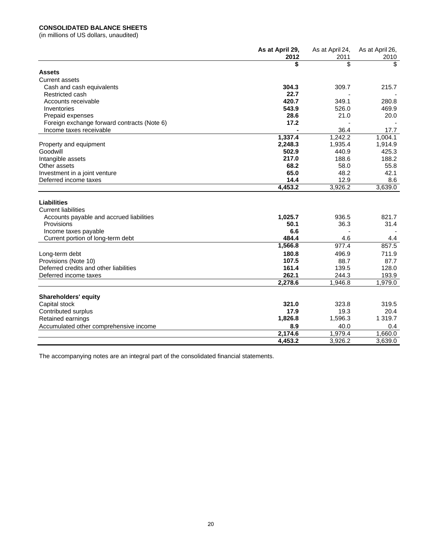## **CONSOLIDATED BALANCE SHEETS**

(in millions of US dollars, unaudited)

|                                                                                                | As at April 29, | As at April 24, | As at April 26, |
|------------------------------------------------------------------------------------------------|-----------------|-----------------|-----------------|
|                                                                                                | 2012            | 2011            | 2010            |
|                                                                                                | \$              | \$              | \$              |
| <b>Assets</b>                                                                                  |                 |                 |                 |
| <b>Current assets</b>                                                                          |                 |                 |                 |
| Cash and cash equivalents                                                                      | 304.3           | 309.7           | 215.7           |
| Restricted cash                                                                                | 22.7            |                 |                 |
| Accounts receivable                                                                            | 420.7           | 349.1           | 280.8           |
| Inventories                                                                                    | 543.9           | 526.0           | 469.9           |
| Prepaid expenses                                                                               | 28.6            | 21.0            | 20.0            |
| Foreign exchange forward contracts (Note 6)                                                    | 17.2            |                 |                 |
| Income taxes receivable                                                                        |                 | 36.4            | 17.7            |
|                                                                                                | 1,337.4         | 1,242.2         | 1,004.1         |
| Property and equipment                                                                         | 2,248.3         | 1,935.4         | 1,914.9         |
| Goodwill                                                                                       | 502.9           | 440.9           | 425.3           |
| Intangible assets                                                                              | 217.0           | 188.6           | 188.2           |
| Other assets                                                                                   | 68.2            | 58.0            | 55.8            |
| Investment in a joint venture                                                                  | 65.0            | 48.2            | 42.1            |
| Deferred income taxes                                                                          | 14.4            | 12.9            | 8.6             |
|                                                                                                | 4,453.2         | 3,926.2         | 3,639.0         |
| <b>Liabilities</b><br><b>Current liabilities</b>                                               |                 |                 |                 |
|                                                                                                | 1,025.7         | 936.5           | 821.7           |
| Provisions                                                                                     | 50.1            | 36.3            | 31.4            |
| Income taxes payable                                                                           | 6.6             |                 |                 |
| Current portion of long-term debt                                                              | 484.4           | 4.6             | 4.4             |
|                                                                                                | 1,566.8         | 977.4           | 857.5           |
| Long-term debt                                                                                 | 180.8           | 496.9           | 711.9           |
| Provisions (Note 10)                                                                           | 107.5           | 88.7            | 87.7            |
| Deferred credits and other liabilities                                                         | 161.4           | 139.5           | 128.0           |
| Deferred income taxes                                                                          | 262.1           | 244.3           | 193.9           |
|                                                                                                | 2,278.6         | 1,946.8         | 1,979.0         |
|                                                                                                |                 |                 |                 |
|                                                                                                |                 |                 |                 |
| Capital stock                                                                                  | 321.0           | 323.8           | 319.5           |
|                                                                                                | 17.9            | 19.3            | 20.4            |
| Retained earnings                                                                              | 1,826.8         | 1,596.3         | 1 319.7         |
| Accumulated other comprehensive income                                                         | 8.9             | 40.0            | 0.4             |
| Accounts payable and accrued liabilities<br><b>Shareholders' equity</b><br>Contributed surplus | 2,174.6         | 1,979.4         | 1,660.0         |
|                                                                                                | 4,453.2         | 3,926.2         | 3,639.0         |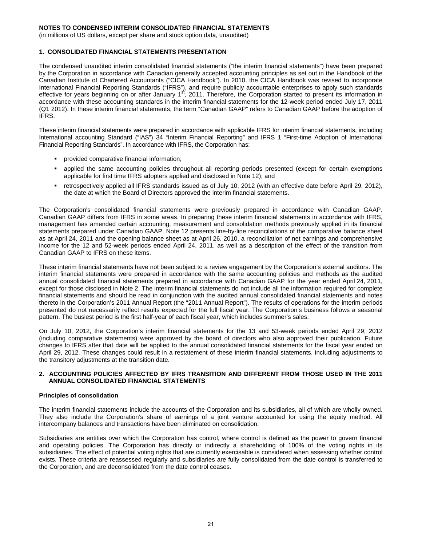(in millions of US dollars, except per share and stock option data, unaudited)

## **1. CONSOLIDATED FINANCIAL STATEMENTS PRESENTATION**

The condensed unaudited interim consolidated financial statements ("the interim financial statements") have been prepared by the Corporation in accordance with Canadian generally accepted accounting principles as set out in the Handbook of the Canadian Institute of Chartered Accountants ("CICA Handbook"). In 2010, the CICA Handbook was revised to incorporate International Financial Reporting Standards ("IFRS"), and require publicly accountable enterprises to apply such standards effective for years beginning on or after January 1st, 2011. Therefore, the Corporation started to present its information in accordance with these accounting standards in the interim financial statements for the 12-week period ended July 17, 2011 (Q1 2012). In these interim financial statements, the term "Canadian GAAP" refers to Canadian GAAP before the adoption of IFRS.

These interim financial statements were prepared in accordance with applicable IFRS for interim financial statements, including International accounting Standard ("IAS") 34 "Interim Financial Reporting" and IFRS 1 "First-time Adoption of International Financial Reporting Standards". In accordance with IFRS, the Corporation has:

- provided comparative financial information;
- applied the same accounting policies throughout all reporting periods presented (except for certain exemptions applicable for first time IFRS adopters applied and disclosed in Note 12); and
- retrospectively applied all IFRS standards issued as of July 10, 2012 (with an effective date before April 29, 2012), the date at which the Board of Directors approved the interim financial statements.

The Corporation's consolidated financial statements were previously prepared in accordance with Canadian GAAP. Canadian GAAP differs from IFRS in some areas. In preparing these interim financial statements in accordance with IFRS, management has amended certain accounting, measurement and consolidation methods previously applied in its financial statements prepared under Canadian GAAP. Note 12 presents line-by-line reconciliations of the comparative balance sheet as at April 24, 2011 and the opening balance sheet as at April 26, 2010, a reconciliation of net earnings and comprehensive income for the 12 and 52-week periods ended April 24, 2011, as well as a description of the effect of the transition from Canadian GAAP to IFRS on these items.

These interim financial statements have not been subject to a review engagement by the Corporation's external auditors. The interim financial statements were prepared in accordance with the same accounting policies and methods as the audited annual consolidated financial statements prepared in accordance with Canadian GAAP for the year ended April 24, 2011, except for those disclosed in Note 2. The interim financial statements do not include all the information required for complete financial statements and should be read in conjunction with the audited annual consolidated financial statements and notes thereto in the Corporation's 2011 Annual Report (the "2011 Annual Report"). The results of operations for the interim periods presented do not necessarily reflect results expected for the full fiscal year. The Corporation's business follows a seasonal pattern. The busiest period is the first half-year of each fiscal year, which includes summer's sales.

On July 10, 2012, the Corporation's interim financial statements for the 13 and 53-week periods ended April 29, 2012 (including comparative statements) were approved by the board of directors who also approved their publication. Future changes to IFRS after that date will be applied to the annual consolidated financial statements for the fiscal year ended on April 29, 2012. These changes could result in a restatement of these interim financial statements, including adjustments to the transitory adjustments at the transition date.

## **2. ACCOUNTING POLICIES AFFECTED BY IFRS TRANSITION AND DIFFERENT FROM THOSE USED IN THE 2011 ANNUAL CONSOLIDATED FINANCIAL STATEMENTS**

### **Principles of consolidation**

The interim financial statements include the accounts of the Corporation and its subsidiaries, all of which are wholly owned. They also include the Corporation's share of earnings of a joint venture accounted for using the equity method. All intercompany balances and transactions have been eliminated on consolidation.

Subsidiaries are entities over which the Corporation has control, where control is defined as the power to govern financial and operating policies. The Corporation has directly or indirectly a shareholding of 100% of the voting rights in its subsidiaries. The effect of potential voting rights that are currently exercisable is considered when assessing whether control exists. These criteria are reassessed regularly and subsidiaries are fully consolidated from the date control is transferred to the Corporation, and are deconsolidated from the date control ceases.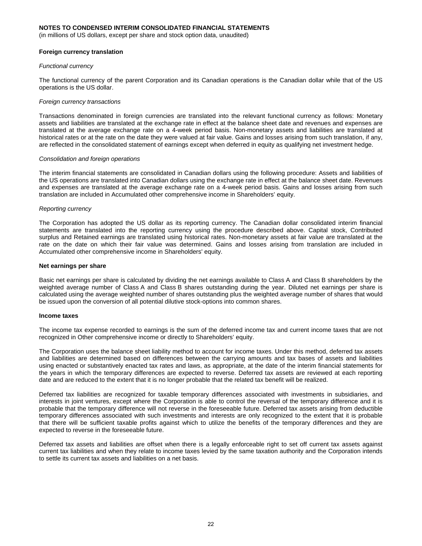(in millions of US dollars, except per share and stock option data, unaudited)

## **Foreign currency translation**

### *Functional currency*

The functional currency of the parent Corporation and its Canadian operations is the Canadian dollar while that of the US operations is the US dollar.

### *Foreign currency transactions*

Transactions denominated in foreign currencies are translated into the relevant functional currency as follows: Monetary assets and liabilities are translated at the exchange rate in effect at the balance sheet date and revenues and expenses are translated at the average exchange rate on a 4-week period basis. Non-monetary assets and liabilities are translated at historical rates or at the rate on the date they were valued at fair value. Gains and losses arising from such translation, if any, are reflected in the consolidated statement of earnings except when deferred in equity as qualifying net investment hedge.

### *Consolidation and foreign operations*

The interim financial statements are consolidated in Canadian dollars using the following procedure: Assets and liabilities of the US operations are translated into Canadian dollars using the exchange rate in effect at the balance sheet date. Revenues and expenses are translated at the average exchange rate on a 4-week period basis. Gains and losses arising from such translation are included in Accumulated other comprehensive income in Shareholders' equity.

### *Reporting currency*

The Corporation has adopted the US dollar as its reporting currency. The Canadian dollar consolidated interim financial statements are translated into the reporting currency using the procedure described above. Capital stock, Contributed surplus and Retained earnings are translated using historical rates. Non-monetary assets at fair value are translated at the rate on the date on which their fair value was determined. Gains and losses arising from translation are included in Accumulated other comprehensive income in Shareholders' equity.

### **Net earnings per share**

Basic net earnings per share is calculated by dividing the net earnings available to Class A and Class B shareholders by the weighted average number of Class A and Class B shares outstanding during the year. Diluted net earnings per share is calculated using the average weighted number of shares outstanding plus the weighted average number of shares that would be issued upon the conversion of all potential dilutive stock-options into common shares.

#### **Income taxes**

The income tax expense recorded to earnings is the sum of the deferred income tax and current income taxes that are not recognized in Other comprehensive income or directly to Shareholders' equity.

The Corporation uses the balance sheet liability method to account for income taxes. Under this method, deferred tax assets and liabilities are determined based on differences between the carrying amounts and tax bases of assets and liabilities using enacted or substantively enacted tax rates and laws, as appropriate, at the date of the interim financial statements for the years in which the temporary differences are expected to reverse. Deferred tax assets are reviewed at each reporting date and are reduced to the extent that it is no longer probable that the related tax benefit will be realized.

Deferred tax liabilities are recognized for taxable temporary differences associated with investments in subsidiaries, and interests in joint ventures, except where the Corporation is able to control the reversal of the temporary difference and it is probable that the temporary difference will not reverse in the foreseeable future. Deferred tax assets arising from deductible temporary differences associated with such investments and interests are only recognized to the extent that it is probable that there will be sufficient taxable profits against which to utilize the benefits of the temporary differences and they are expected to reverse in the foreseeable future.

Deferred tax assets and liabilities are offset when there is a legally enforceable right to set off current tax assets against current tax liabilities and when they relate to income taxes levied by the same taxation authority and the Corporation intends to settle its current tax assets and liabilities on a net basis.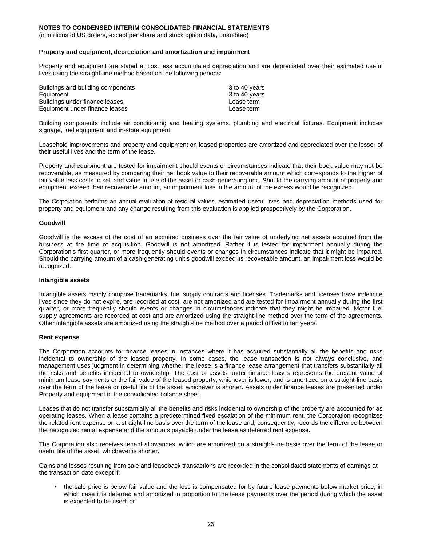(in millions of US dollars, except per share and stock option data, unaudited)

### **Property and equipment, depreciation and amortization and impairment**

Property and equipment are stated at cost less accumulated depreciation and are depreciated over their estimated useful lives using the straight-line method based on the following periods:

| Buildings and building components | 3 to 40 years |
|-----------------------------------|---------------|
| Equipment                         | 3 to 40 years |
| Buildings under finance leases    | Lease term    |
| Equipment under finance leases    | Lease term    |

Building components include air conditioning and heating systems, plumbing and electrical fixtures. Equipment includes signage, fuel equipment and in-store equipment.

Leasehold improvements and property and equipment on leased properties are amortized and depreciated over the lesser of their useful lives and the term of the lease.

Property and equipment are tested for impairment should events or circumstances indicate that their book value may not be recoverable, as measured by comparing their net book value to their recoverable amount which corresponds to the higher of fair value less costs to sell and value in use of the asset or cash-generating unit. Should the carrying amount of property and equipment exceed their recoverable amount, an impairment loss in the amount of the excess would be recognized.

The Corporation performs an annual evaluation of residual values, estimated useful lives and depreciation methods used for property and equipment and any change resulting from this evaluation is applied prospectively by the Corporation.

### **Goodwill**

Goodwill is the excess of the cost of an acquired business over the fair value of underlying net assets acquired from the business at the time of acquisition. Goodwill is not amortized. Rather it is tested for impairment annually during the Corporation's first quarter, or more frequently should events or changes in circumstances indicate that it might be impaired. Should the carrying amount of a cash-generating unit's goodwill exceed its recoverable amount, an impairment loss would be recognized.

#### **Intangible assets**

Intangible assets mainly comprise trademarks, fuel supply contracts and licenses. Trademarks and licenses have indefinite lives since they do not expire, are recorded at cost, are not amortized and are tested for impairment annually during the first quarter, or more frequently should events or changes in circumstances indicate that they might be impaired. Motor fuel supply agreements are recorded at cost and are amortized using the straight-line method over the term of the agreements. Other intangible assets are amortized using the straight-line method over a period of five to ten years.

### **Rent expense**

The Corporation accounts for finance leases in instances where it has acquired substantially all the benefits and risks incidental to ownership of the leased property. In some cases, the lease transaction is not always conclusive, and management uses judgment in determining whether the lease is a finance lease arrangement that transfers substantially all the risks and benefits incidental to ownership. The cost of assets under finance leases represents the present value of minimum lease payments or the fair value of the leased property, whichever is lower, and is amortized on a straight-line basis over the term of the lease or useful life of the asset, whichever is shorter. Assets under finance leases are presented under Property and equipment in the consolidated balance sheet.

Leases that do not transfer substantially all the benefits and risks incidental to ownership of the property are accounted for as operating leases. When a lease contains a predetermined fixed escalation of the minimum rent, the Corporation recognizes the related rent expense on a straight-line basis over the term of the lease and, consequently, records the difference between the recognized rental expense and the amounts payable under the lease as deferred rent expense.

The Corporation also receives tenant allowances, which are amortized on a straight-line basis over the term of the lease or useful life of the asset, whichever is shorter.

Gains and losses resulting from sale and leaseback transactions are recorded in the consolidated statements of earnings at the transaction date except if:

 the sale price is below fair value and the loss is compensated for by future lease payments below market price, in which case it is deferred and amortized in proportion to the lease payments over the period during which the asset is expected to be used; or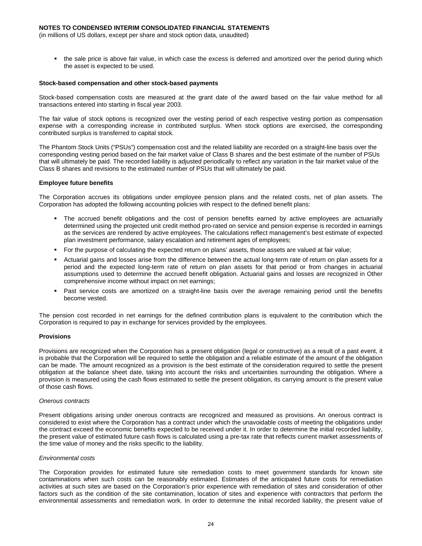(in millions of US dollars, except per share and stock option data, unaudited)

 the sale price is above fair value, in which case the excess is deferred and amortized over the period during which the asset is expected to be used.

### **Stock-based compensation and other stock-based payments**

Stock-based compensation costs are measured at the grant date of the award based on the fair value method for all transactions entered into starting in fiscal year 2003.

The fair value of stock options is recognized over the vesting period of each respective vesting portion as compensation expense with a corresponding increase in contributed surplus. When stock options are exercised, the corresponding contributed surplus is transferred to capital stock.

The Phantom Stock Units ("PSUs") compensation cost and the related liability are recorded on a straight-line basis over the corresponding vesting period based on the fair market value of Class B shares and the best estimate of the number of PSUs that will ultimately be paid. The recorded liability is adjusted periodically to reflect any variation in the fair market value of the Class B shares and revisions to the estimated number of PSUs that will ultimately be paid.

### **Employee future benefits**

The Corporation accrues its obligations under employee pension plans and the related costs, net of plan assets. The Corporation has adopted the following accounting policies with respect to the defined benefit plans:

- The accrued benefit obligations and the cost of pension benefits earned by active employees are actuarially determined using the projected unit credit method pro-rated on service and pension expense is recorded in earnings as the services are rendered by active employees. The calculations reflect management's best estimate of expected plan investment performance, salary escalation and retirement ages of employees;
- For the purpose of calculating the expected return on plans' assets, those assets are valued at fair value;
- Actuarial gains and losses arise from the difference between the actual long-term rate of return on plan assets for a period and the expected long-term rate of return on plan assets for that period or from changes in actuarial assumptions used to determine the accrued benefit obligation. Actuarial gains and losses are recognized in Other comprehensive income without impact on net earnings;
- Past service costs are amortized on a straight-line basis over the average remaining period until the benefits become vested.

The pension cost recorded in net earnings for the defined contribution plans is equivalent to the contribution which the Corporation is required to pay in exchange for services provided by the employees.

### **Provisions**

Provisions are recognized when the Corporation has a present obligation (legal or constructive) as a result of a past event, it is probable that the Corporation will be required to settle the obligation and a reliable estimate of the amount of the obligation can be made. The amount recognized as a provision is the best estimate of the consideration required to settle the present obligation at the balance sheet date, taking into account the risks and uncertainties surrounding the obligation. Where a provision is measured using the cash flows estimated to settle the present obligation, its carrying amount is the present value of those cash flows.

### *Onerous contracts*

Present obligations arising under onerous contracts are recognized and measured as provisions. An onerous contract is considered to exist where the Corporation has a contract under which the unavoidable costs of meeting the obligations under the contract exceed the economic benefits expected to be received under it. In order to determine the initial recorded liability, the present value of estimated future cash flows is calculated using a pre-tax rate that reflects current market assessments of the time value of money and the risks specific to the liability.

#### *Environmental costs*

The Corporation provides for estimated future site remediation costs to meet government standards for known site contaminations when such costs can be reasonably estimated. Estimates of the anticipated future costs for remediation activities at such sites are based on the Corporation's prior experience with remediation of sites and consideration of other factors such as the condition of the site contamination, location of sites and experience with contractors that perform the environmental assessments and remediation work. In order to determine the initial recorded liability, the present value of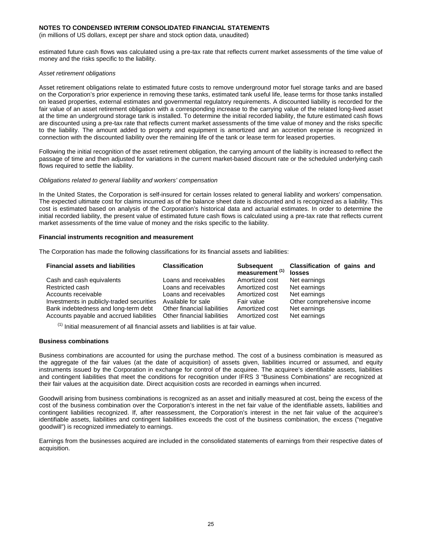(in millions of US dollars, except per share and stock option data, unaudited)

estimated future cash flows was calculated using a pre-tax rate that reflects current market assessments of the time value of money and the risks specific to the liability.

### *Asset retirement obligations*

Asset retirement obligations relate to estimated future costs to remove underground motor fuel storage tanks and are based on the Corporation's prior experience in removing these tanks, estimated tank useful life, lease terms for those tanks installed on leased properties, external estimates and governmental regulatory requirements. A discounted liability is recorded for the fair value of an asset retirement obligation with a corresponding increase to the carrying value of the related long-lived asset at the time an underground storage tank is installed. To determine the initial recorded liability, the future estimated cash flows are discounted using a pre-tax rate that reflects current market assessments of the time value of money and the risks specific to the liability. The amount added to property and equipment is amortized and an accretion expense is recognized in connection with the discounted liability over the remaining life of the tank or lease term for leased properties.

Following the initial recognition of the asset retirement obligation, the carrying amount of the liability is increased to reflect the passage of time and then adjusted for variations in the current market-based discount rate or the scheduled underlying cash flows required to settle the liability.

### *Obligations related to general liability and workers' compensation*

In the United States, the Corporation is self-insured for certain losses related to general liability and workers' compensation. The expected ultimate cost for claims incurred as of the balance sheet date is discounted and is recognized as a liability. This cost is estimated based on analysis of the Corporation's historical data and actuarial estimates. In order to determine the initial recorded liability, the present value of estimated future cash flows is calculated using a pre-tax rate that reflects current market assessments of the time value of money and the risks specific to the liability.

## **Financial instruments recognition and measurement**

The Corporation has made the following classifications for its financial assets and liabilities:

| <b>Financial assets and liabilities</b>   | <b>Classification</b>       | <b>Subsequent</b><br>measurement <sup>(1)</sup> | Classification of gains and<br>losses |
|-------------------------------------------|-----------------------------|-------------------------------------------------|---------------------------------------|
| Cash and cash equivalents                 | Loans and receivables       | Amortized cost                                  | Net earnings                          |
| Restricted cash                           | Loans and receivables       | Amortized cost                                  | Net earnings                          |
| Accounts receivable                       | Loans and receivables       | Amortized cost                                  | Net earnings                          |
| Investments in publicly-traded securities | Available for sale          | Fair value                                      | Other comprehensive income            |
| Bank indebtedness and long-term debt      | Other financial liabilities | Amortized cost                                  | Net earnings                          |
| Accounts payable and accrued liabilities  | Other financial liabilities | Amortized cost                                  | Net earnings                          |

 $<sup>(1)</sup>$  Initial measurement of all financial assets and liabilities is at fair value.</sup>

## **Business combinations**

Business combinations are accounted for using the purchase method. The cost of a business combination is measured as the aggregate of the fair values (at the date of acquisition) of assets given, liabilities incurred or assumed, and equity instruments issued by the Corporation in exchange for control of the acquiree. The acquiree's identifiable assets, liabilities and contingent liabilities that meet the conditions for recognition under IFRS 3 "Business Combinations" are recognized at their fair values at the acquisition date. Direct acquisition costs are recorded in earnings when incurred.

Goodwill arising from business combinations is recognized as an asset and initially measured at cost, being the excess of the cost of the business combination over the Corporation's interest in the net fair value of the identifiable assets, liabilities and contingent liabilities recognized. If, after reassessment, the Corporation's interest in the net fair value of the acquiree's identifiable assets, liabilities and contingent liabilities exceeds the cost of the business combination, the excess ("negative goodwill") is recognized immediately to earnings.

Earnings from the businesses acquired are included in the consolidated statements of earnings from their respective dates of acquisition.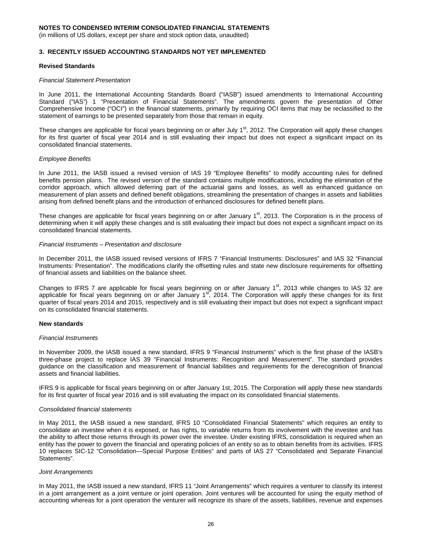(in millions of US dollars, except per share and stock option data, unaudited)

## **3. RECENTLY ISSUED ACCOUNTING STANDARDS NOT YET IMPLEMENTED**

## **Revised Standards**

### *Financial Statement Presentation*

In June 2011, the International Accounting Standards Board ("IASB") issued amendments to International Accounting Standard ("IAS") 1 "Presentation of Financial Statements". The amendments govern the presentation of Other Comprehensive Income ("OCI") in the financial statements, primarily by requiring OCI items that may be reclassified to the statement of earnings to be presented separately from those that remain in equity.

These changes are applicable for fiscal years beginning on or after July  $1<sup>st</sup>$ , 2012. The Corporation will apply these changes for its first quarter of fiscal year 2014 and is still evaluating their impact but does not expect a significant impact on its consolidated financial statements.

### *Employee Benefits*

In June 2011, the IASB issued a revised version of IAS 19 "Employee Benefits" to modify accounting rules for defined benefits pension plans. The revised version of the standard contains multiple modifications, including the elimination of the corridor approach, which allowed deferring part of the actuarial gains and losses, as well as enhanced guidance on measurement of plan assets and defined benefit obligations, streamlining the presentation of changes in assets and liabilities arising from defined benefit plans and the introduction of enhanced disclosures for defined benefit plans.

These changes are applicable for fiscal years beginning on or after January 1<sup>st</sup>, 2013. The Corporation is in the process of determining when it will apply these changes and is still evaluating their impact but does not expect a significant impact on its consolidated financial statements.

### *Financial Instruments – Presentation and disclosure*

In December 2011, the IASB issued revised versions of IFRS 7 "Financial Instruments: Disclosures" and IAS 32 "Financial Instruments: Presentation". The modifications clarify the offsetting rules and state new disclosure requirements for offsetting of financial assets and liabilities on the balance sheet.

Changes to IFRS 7 are applicable for fiscal years beginning on or after January  $1<sup>st</sup>$ , 2013 while changes to IAS 32 are applicable for fiscal years beginning on or after January 1<sup>st</sup>, 2014. The Corporation will apply these changes for its first quarter of fiscal years 2014 and 2015, respectively and is still evaluating their impact but does not expect a significant impact on its consolidated financial statements.

### **New standards**

### *Financial Instruments*

In November 2009, the IASB issued a new standard, IFRS 9 "Financial Instruments" which is the first phase of the IASB's three-phase project to replace IAS 39 "Financial Instruments: Recognition and Measurement". The standard provides guidance on the classification and measurement of financial liabilities and requirements for the derecognition of financial assets and financial liabilities.

IFRS 9 is applicable for fiscal years beginning on or after January 1st, 2015. The Corporation will apply these new standards for its first quarter of fiscal year 2016 and is still evaluating the impact on its consolidated financial statements.

#### *Consolidated financial statements*

In May 2011, the IASB issued a new standard, IFRS 10 "Consolidated Financial Statements" which requires an entity to consolidate an investee when it is exposed, or has rights, to variable returns from its involvement with the investee and has the ability to affect those returns through its power over the investee. Under existing IFRS, consolidation is required when an entity has the power to govern the financial and operating policies of an entity so as to obtain benefits from its activities. IFRS 10 replaces SIC-12 "Consolidation—Special Purpose Entities" and parts of IAS 27 "Consolidated and Separate Financial Statements".

### *Joint Arrangements*

In May 2011, the IASB issued a new standard, IFRS 11 "Joint Arrangements" which requires a venturer to classify its interest in a joint arrangement as a joint venture or joint operation. Joint ventures will be accounted for using the equity method of accounting whereas for a joint operation the venturer will recognize its share of the assets, liabilities, revenue and expenses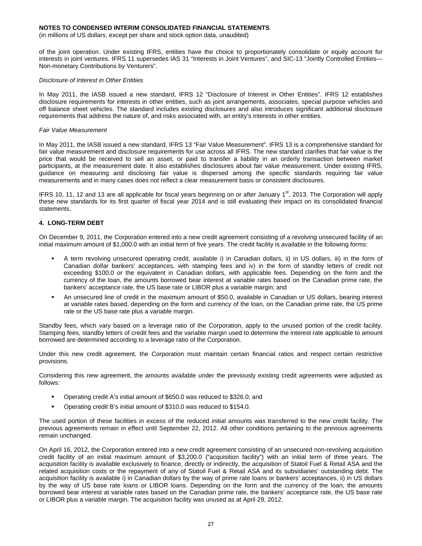(in millions of US dollars, except per share and stock option data, unaudited)

of the joint operation. Under existing IFRS, entities have the choice to proportionately consolidate or equity account for interests in joint ventures. IFRS 11 supersedes IAS 31 "Interests in Joint Ventures", and SIC-13 "Jointly Controlled Entities— Non-monetary Contributions by Venturers".

### *Disclosure of Interest in Other Entities*

In May 2011, the IASB issued a new standard, IFRS 12 "Disclosure of Interest in Other Entities". IFRS 12 establishes disclosure requirements for interests in other entities, such as joint arrangements, associates, special purpose vehicles and off balance sheet vehicles. The standard includes existing disclosures and also introduces significant additional disclosure requirements that address the nature of, and risks associated with, an entity's interests in other entities.

## *Fair Value Measurement*

In May 2011, the IASB issued a new standard, IFRS 13 "Fair Value Measurement". IFRS 13 is a comprehensive standard for fair value measurement and disclosure requirements for use across all IFRS. The new standard clarifies that fair value is the price that would be received to sell an asset, or paid to transfer a liability in an orderly transaction between market participants, at the measurement date. It also establishes disclosures about fair value measurement. Under existing IFRS, guidance on measuring and disclosing fair value is dispersed among the specific standards requiring fair value measurements and in many cases does not reflect a clear measurement basis or consistent disclosures.

IFRS 10, 11, 12 and 13 are all applicable for fiscal years beginning on or after January 1<sup>st</sup>, 2013. The Corporation will apply these new standards for its first quarter of fiscal year 2014 and is still evaluating their impact on its consolidated financial statements.

## **4. LONG-TERM DEBT**

On December 9, 2011, the Corporation entered into a new credit agreement consisting of a revolving unsecured facility of an initial maximum amount of \$1,000.0 with an initial term of five years. The credit facility is available in the following forms:

- A term revolving unsecured operating credit, available i) in Canadian dollars, ii) in US dollars, iii) in the form of Canadian dollar bankers' acceptances, with stamping fees and iv) in the form of standby letters of credit not exceeding \$100.0 or the equivalent in Canadian dollars, with applicable fees. Depending on the form and the currency of the loan, the amounts borrowed bear interest at variable rates based on the Canadian prime rate, the bankers' acceptance rate, the US base rate or LIBOR plus a variable margin; and
- An unsecured line of credit in the maximum amount of \$50.0, available in Canadian or US dollars, bearing interest at variable rates based, depending on the form and currency of the loan, on the Canadian prime rate, the US prime rate or the US base rate plus a variable margin.

Standby fees, which vary based on a leverage ratio of the Corporation, apply to the unused portion of the credit facility. Stamping fees, standby letters of credit fees and the variable margin used to determine the interest rate applicable to amount borrowed are determined according to a leverage ratio of the Corporation.

Under this new credit agreement, the Corporation must maintain certain financial ratios and respect certain restrictive provisions.

Considering this new agreement, the amounts available under the previously existing credit agreements were adjusted as follows:

- Operating credit A's initial amount of \$650.0 was reduced to \$326.0; and
- Operating credit B's initial amount of \$310.0 was reduced to \$154.0.

The used portion of these facilities in excess of the reduced initial amounts was transferred to the new credit facility. The previous agreements remain in effect until September 22, 2012. All other conditions pertaining to the previous agreements remain unchanged.

On April 16, 2012, the Corporation entered into a new credit agreement consisting of an unsecured non-revolving acquisition credit facility of an initial maximum amount of \$3,200.0 ("acquisition facility") with an initial term of three years. The acquisition facility is available exclusively to finance, directly or indirectly, the acquisition of Statoil Fuel & Retail ASA and the related acquisition costs or the repayment of any of Statoil Fuel & Retail ASA and its subsidiaries' outstanding debt. The acquisition facility is available i) in Canadian dollars by the way of prime rate loans or bankers' acceptances, ii) in US dollars by the way of US base rate loans or LIBOR loans. Depending on the form and the currency of the loan, the amounts borrowed bear interest at variable rates based on the Canadian prime rate, the bankers' acceptance rate, the US base rate or LIBOR plus a variable margin. The acquisition facility was unused as at April 29, 2012.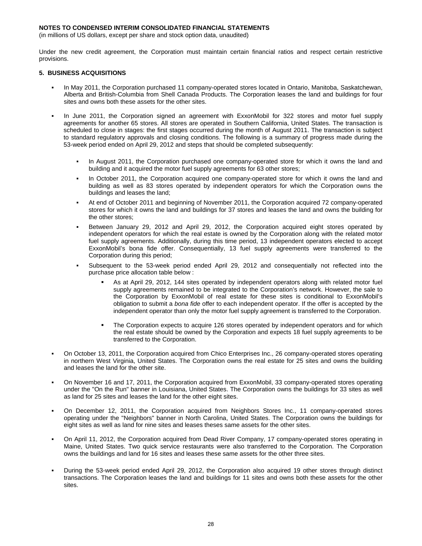(in millions of US dollars, except per share and stock option data, unaudited)

Under the new credit agreement, the Corporation must maintain certain financial ratios and respect certain restrictive provisions.

## **5. BUSINESS ACQUISITIONS**

- In May 2011, the Corporation purchased 11 company-operated stores located in Ontario, Manitoba, Saskatchewan, Alberta and British-Columbia from Shell Canada Products. The Corporation leases the land and buildings for four sites and owns both these assets for the other sites.
- In June 2011, the Corporation signed an agreement with ExxonMobil for 322 stores and motor fuel supply agreements for another 65 stores. All stores are operated in Southern California, United States. The transaction is scheduled to close in stages: the first stages occurred during the month of August 2011. The transaction is subject to standard regulatory approvals and closing conditions. The following is a summary of progress made during the 53-week period ended on April 29, 2012 and steps that should be completed subsequently:
	- In August 2011, the Corporation purchased one company-operated store for which it owns the land and building and it acquired the motor fuel supply agreements for 63 other stores;
	- In October 2011, the Corporation acquired one company-operated store for which it owns the land and building as well as 83 stores operated by independent operators for which the Corporation owns the buildings and leases the land;
	- At end of October 2011 and beginning of November 2011, the Corporation acquired 72 company-operated stores for which it owns the land and buildings for 37 stores and leases the land and owns the building for the other stores;
	- Between January 29, 2012 and April 29, 2012, the Corporation acquired eight stores operated by independent operators for which the real estate is owned by the Corporation along with the related motor fuel supply agreements. Additionally, during this time period, 13 independent operators elected to accept ExxonMobil's bona fide offer. Consequentially, 13 fuel supply agreements were transferred to the Corporation during this period;
	- Subsequent to the 53-week period ended April 29, 2012 and consequentially not reflected into the purchase price allocation table below :
		- As at April 29, 2012, 144 sites operated by independent operators along with related motor fuel supply agreements remained to be integrated to the Corporation's network. However, the sale to the Corporation by ExxonMobil of real estate for these sites is conditional to ExxonMobil's obligation to submit a *bona fide* offer to each independent operator. If the offer is accepted by the independent operator than only the motor fuel supply agreement is transferred to the Corporation.
		- The Corporation expects to acquire 126 stores operated by independent operators and for which the real estate should be owned by the Corporation and expects 18 fuel supply agreements to be transferred to the Corporation.
- On October 13, 2011, the Corporation acquired from Chico Enterprises Inc., 26 company-operated stores operating in northern West Virginia, United States. The Corporation owns the real estate for 25 sites and owns the building and leases the land for the other site.
- On November 16 and 17, 2011, the Corporation acquired from ExxonMobil, 33 company-operated stores operating under the "On the Run" banner in Louisiana, United States. The Corporation owns the buildings for 33 sites as well as land for 25 sites and leases the land for the other eight sites.
- On December 12, 2011, the Corporation acquired from Neighbors Stores Inc., 11 company-operated stores operating under the "Neighbors" banner in North Carolina, United States. The Corporation owns the buildings for eight sites as well as land for nine sites and leases theses same assets for the other sites.
- On April 11, 2012, the Corporation acquired from Dead River Company, 17 company-operated stores operating in Maine, United States. Two quick service restaurants were also transferred to the Corporation. The Corporation owns the buildings and land for 16 sites and leases these same assets for the other three sites.
- During the 53-week period ended April 29, 2012, the Corporation also acquired 19 other stores through distinct transactions. The Corporation leases the land and buildings for 11 sites and owns both these assets for the other sites.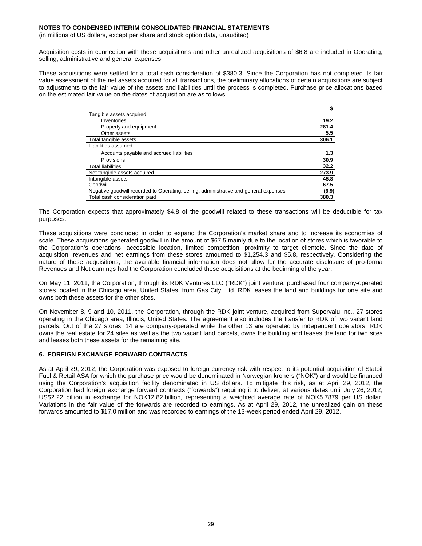(in millions of US dollars, except per share and stock option data, unaudited)

Acquisition costs in connection with these acquisitions and other unrealized acquisitions of \$6.8 are included in Operating, selling, administrative and general expenses.

These acquisitions were settled for a total cash consideration of \$380.3. Since the Corporation has not completed its fair value assessment of the net assets acquired for all transactions, the preliminary allocations of certain acquisitions are subject to adjustments to the fair value of the assets and liabilities until the process is completed. Purchase price allocations based on the estimated fair value on the dates of acquisition are as follows:

|                                                                                       | \$    |
|---------------------------------------------------------------------------------------|-------|
| Tangible assets acquired                                                              |       |
| Inventories                                                                           | 19.2  |
| Property and equipment                                                                | 281.4 |
| Other assets                                                                          | 5.5   |
| Total tangible assets                                                                 | 306.1 |
| Liabilities assumed                                                                   |       |
| Accounts payable and accrued liabilities                                              | 1.3   |
| Provisions                                                                            | 30.9  |
| <b>Total liabilities</b>                                                              | 32.2  |
| Net tangible assets acquired                                                          | 273.9 |
| Intangible assets                                                                     | 45.8  |
| Goodwill                                                                              | 67.5  |
| Negative goodwill recorded to Operating, selling, administrative and general expenses | (6.9) |
| Total cash consideration paid                                                         | 380.3 |

The Corporation expects that approximately \$4.8 of the goodwill related to these transactions will be deductible for tax purposes.

These acquisitions were concluded in order to expand the Corporation's market share and to increase its economies of scale. These acquisitions generated goodwill in the amount of \$67.5 mainly due to the location of stores which is favorable to the Corporation's operations: accessible location, limited competition, proximity to target clientele. Since the date of acquisition, revenues and net earnings from these stores amounted to \$1,254.3 and \$5.8, respectively. Considering the nature of these acquisitions, the available financial information does not allow for the accurate disclosure of pro-forma Revenues and Net earnings had the Corporation concluded these acquisitions at the beginning of the year.

On May 11, 2011, the Corporation, through its RDK Ventures LLC ("RDK") joint venture, purchased four company-operated stores located in the Chicago area, United States, from Gas City, Ltd. RDK leases the land and buildings for one site and owns both these assets for the other sites.

On November 8, 9 and 10, 2011, the Corporation, through the RDK joint venture, acquired from Supervalu Inc., 27 stores operating in the Chicago area, Illinois, United States. The agreement also includes the transfer to RDK of two vacant land parcels. Out of the 27 stores, 14 are company-operated while the other 13 are operated by independent operators. RDK owns the real estate for 24 sites as well as the two vacant land parcels, owns the building and leases the land for two sites and leases both these assets for the remaining site.

## **6. FOREIGN EXCHANGE FORWARD CONTRACTS**

As at April 29, 2012, the Corporation was exposed to foreign currency risk with respect to its potential acquisition of Statoil Fuel & Retail ASA for which the purchase price would be denominated in Norwegian kroners ("NOK") and would be financed using the Corporation's acquisition facility denominated in US dollars. To mitigate this risk, as at April 29, 2012, the Corporation had foreign exchange forward contracts ("forwards") requiring it to deliver, at various dates until July 26, 2012, US\$2.22 billion in exchange for NOK12.82 billion, representing a weighted average rate of NOK5.7879 per US dollar. Variations in the fair value of the forwards are recorded to earnings. As at April 29, 2012, the unrealized gain on these forwards amounted to \$17.0 million and was recorded to earnings of the 13-week period ended April 29, 2012.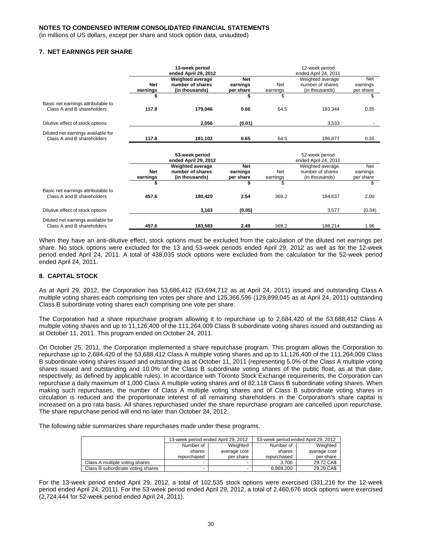(in millions of US dollars, except per share and stock option data, unaudited)

## **7. NET EARNINGS PER SHARE**

|                                                                  | 13-week period<br>ended April 29, 2012 |                                                               |                                     | 12-week period<br>ended April 24, 2011 |                                                        |                                     |  |  |
|------------------------------------------------------------------|----------------------------------------|---------------------------------------------------------------|-------------------------------------|----------------------------------------|--------------------------------------------------------|-------------------------------------|--|--|
|                                                                  | <b>Net</b><br>earnings                 | <b>Weighted average</b><br>number of shares<br>(in thousands) | <b>Net</b><br>earnings<br>per share | Net<br>earnings                        | Weighted average<br>number of shares<br>(in thousands) | Net<br>earnings<br>per share        |  |  |
|                                                                  |                                        |                                                               |                                     | S                                      |                                                        | \$                                  |  |  |
| Basic net earnings attributable to<br>Class A and B shareholders | 117.8                                  | 179,046                                                       | 0.66                                | 64.5                                   | 183,344                                                | 0.35                                |  |  |
| Dilutive effect of stock options                                 |                                        | 2,056                                                         | (0.01)                              |                                        | 3,533                                                  |                                     |  |  |
| Diluted net earnings available for<br>Class A and B shareholders | 117.8                                  | 181,102                                                       | 0.65                                | 64.5                                   | 186,877                                                | 0.35                                |  |  |
|                                                                  |                                        | 53-week period<br>ended April 29, 2012                        |                                     |                                        | 52-week period<br>ended April 24, 2011                 |                                     |  |  |
|                                                                  | Net<br>earnings                        | <b>Weighted average</b><br>number of shares<br>(in thousands) | <b>Net</b><br>earnings<br>per share | Net<br>earnings                        | Weighted average<br>number of shares<br>(in thousands) | <b>Net</b><br>earnings<br>per share |  |  |
|                                                                  | \$                                     |                                                               | \$                                  | \$                                     |                                                        | \$                                  |  |  |
| Basic net earnings attributable to<br>Class A and B shareholders | 457.6                                  | 180,420                                                       | 2.54                                | 369.2                                  | 184,637                                                | 2.00                                |  |  |
| Dilutive effect of stock options                                 |                                        | 3,163                                                         | (0.05)                              |                                        | 3,577                                                  | (0.04)                              |  |  |

Diluted net earnings available for Class A and B shareholders **457.6 183,583 2.49** 369.2 188,214 1.96

When they have an anti-dilutive effect, stock options must be excluded from the calculation of the diluted net earnings per share. No stock options were excluded for the 13 and 53-week periods ended April 29, 2012 as well as for the 12-week period ended April 24, 2011. A total of 438,035 stock options were excluded from the calculation for the 52-week period ended April 24, 2011.

## **8. CAPITAL STOCK**

As at April 29, 2012, the Corporation has 53,686,412 (53,694,712 as at April 24, 2011) issued and outstanding Class A multiple voting shares each comprising ten votes per share and 125,366,596 (129,899,045 as at April 24, 2011) outstanding Class B subordinate voting shares each comprising one vote per share.

The Corporation had a share repurchase program allowing it to repurchase up to 2,684,420 of the 53,688,412 Class A multiple voting shares and up to 11,126,400 of the 111,264,009 Class B subordinate voting shares issued and outstanding as at October 11, 2011. This program ended on October 24, 2011.

On October 25, 2011, the Corporation implemented a share repurchase program. This program allows the Corporation to repurchase up to 2,684,420 of the 53,688,412 Class A multiple voting shares and up to 11,126,400 of the 111,264,009 Class B subordinate voting shares issued and outstanding as at October 11, 2011 (representing 5.0% of the Class A multiple voting shares issued and outstanding and 10.0% of the Class B subordinate voting shares of the public float, as at that date, respectively, as defined by applicable rules). In accordance with Toronto Stock Exchange requirements, the Corporation can repurchase a daily maximum of 1,000 Class A multiple voting shares and of 82,118 Class B subordinate voting shares. When making such repurchases, the number of Class A multiple voting shares and of Class B subordinate voting shares in circulation is reduced and the proportionate interest of all remaining shareholders in the Corporation's share capital is increased on a pro rata basis. All shares repurchased under the share repurchase program are cancelled upon repurchase. The share repurchase period will end no later than October 24, 2012.

The following table summarizes share repurchases made under these programs.

|                                   |             | 13-week period ended April 29, 2012 | 53-week period ended April 29, 2012 |              |  |
|-----------------------------------|-------------|-------------------------------------|-------------------------------------|--------------|--|
|                                   | Number of   | Weighted                            | Number of                           | Weighted     |  |
|                                   | shares      | average cost                        | shares                              | average cost |  |
|                                   | repurchased | per share                           | repurchased                         | per share    |  |
| Class A multiple voting shares    |             | -                                   | 3.700                               | 29.72 CA\$   |  |
| Class B subordinate voting shares |             | -                                   | 6.969.200                           | 29.29 CA\$   |  |

For the 13-week period ended April 29, 2012, a total of 102,535 stock options were exercised (331,216 for the 12-week period ended April 24, 2011). For the 53-week period ended April 29, 2012, a total of 2,460,676 stock options were exercised (2,724,444 for 52-week period ended April 24, 2011).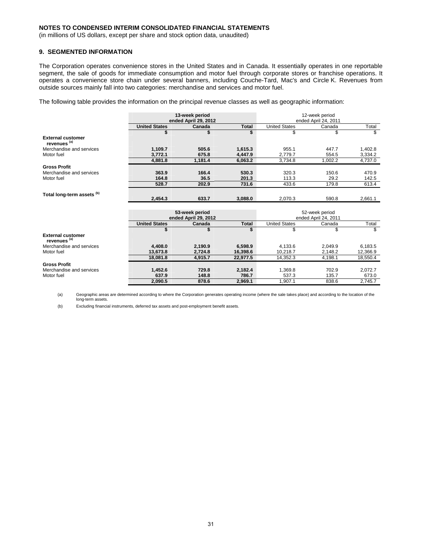(in millions of US dollars, except per share and stock option data, unaudited)

## **9. SEGMENTED INFORMATION**

The Corporation operates convenience stores in the United States and in Canada. It essentially operates in one reportable segment, the sale of goods for immediate consumption and motor fuel through corporate stores or franchise operations. It operates a convenience store chain under several banners, including Couche-Tard, Mac's and Circle K. Revenues from outside sources mainly fall into two categories: merchandise and services and motor fuel.

The following table provides the information on the principal revenue classes as well as geographic information:

|                                                     | 13-week period<br>ended April 29, 2012 |                      |              |                      | 12-week period<br>ended April 24, 2011 |          |
|-----------------------------------------------------|----------------------------------------|----------------------|--------------|----------------------|----------------------------------------|----------|
|                                                     | <b>United States</b>                   | Canada               | <b>Total</b> | <b>United States</b> | Canada                                 | Total    |
|                                                     | \$                                     | \$                   | \$           | \$                   | \$                                     | \$       |
| <b>External customer</b><br>revenues <sup>(a)</sup> |                                        |                      |              |                      |                                        |          |
| Merchandise and services                            | 1,109.7                                | 505.6                | 1,615.3      | 955.1                | 447.7                                  | 1,402.8  |
| Motor fuel                                          | 3,772.1                                | 675.8                | 4,447.9      | 2,779.7              | 554.5                                  | 3,334.2  |
|                                                     | 4,881.8                                | 1,181.4              | 6,063.2      | 3,734.8              | 1,002.2                                | 4,737.0  |
| <b>Gross Profit</b>                                 |                                        |                      |              |                      |                                        |          |
| Merchandise and services                            | 363.9                                  | 166.4                | 530.3        | 320.3                | 150.6                                  | 470.9    |
| Motor fuel                                          | 164.8                                  | 36.5                 | 201.3        | 113.3                | 29.2                                   | 142.5    |
|                                                     | 528.7                                  | 202.9                | 731.6        | 433.6                | 179.8                                  | 613.4    |
| Total long-term assets <sup>(b)</sup>               |                                        |                      |              |                      |                                        |          |
|                                                     | 2,454.3                                | 633.7                | 3,088.0      | 2,070.3              | 590.8                                  | 2,661.1  |
|                                                     |                                        |                      |              |                      |                                        |          |
|                                                     |                                        | 53-week period       |              |                      | 52-week period                         |          |
|                                                     |                                        | ended April 29, 2012 |              | ended April 24, 2011 |                                        |          |
|                                                     | <b>United States</b>                   | Canada               | <b>Total</b> | <b>United States</b> | Canada                                 | Total    |
|                                                     | \$                                     |                      | \$           | \$                   | \$                                     | \$       |
| <b>External customer</b><br>revenues <sup>(a)</sup> |                                        |                      |              |                      |                                        |          |
| Merchandise and services                            | 4,408.0                                | 2,190.9              | 6,598.9      | 4,133.6              | 2,049.9                                | 6,183.5  |
| Motor fuel                                          | 13,673.8                               | 2,724.8              | 16,398.6     | 10,218.7             | 2,148.2                                | 12,366.9 |
|                                                     | 18,081.8                               | 4,915.7              | 22,977.5     | 14,352.3             | 4,198.1                                | 18,550.4 |
| <b>Gross Profit</b>                                 |                                        |                      |              |                      |                                        |          |

(a) Geographic areas are determined according to where the Corporation generates operating income (where the sale takes place) and according to the location of the long-term assets.

**2,090.5 878.6 2,969.1** 1,907.1 838.6 2,745.7

Merchandise and services **1,452.6 729.8 2,182.4** 1,369.8 702.9 2,072.7 Motor fuel **637.9 148.8 786.7** 537.3 135.7 673.0

(b) Excluding financial instruments, deferred tax assets and post-employment benefit assets.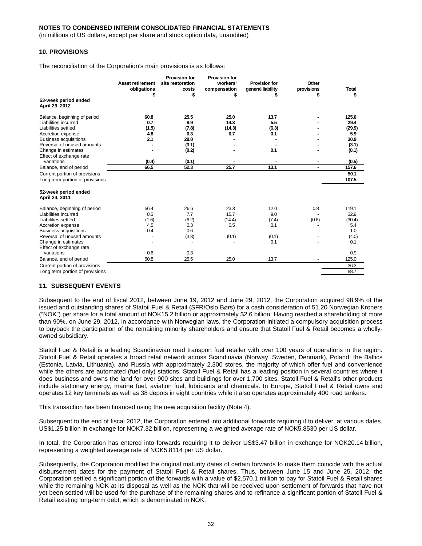(in millions of US dollars, except per share and stock option data, unaudited)

## **10. PROVISIONS**

The reconciliation of the Corporation's main provisions is as follows:

|                                        | <b>Asset retirement</b> | <b>Provision for</b><br>site restoration | <b>Provision for</b><br>workers' | <b>Provision for</b> | Other      |              |
|----------------------------------------|-------------------------|------------------------------------------|----------------------------------|----------------------|------------|--------------|
|                                        | obligations             | costs                                    | compensation                     | general liability    | provisions | <b>Total</b> |
|                                        | \$                      | \$                                       |                                  | S                    | \$         | \$           |
| 53-week period ended<br>April 29, 2012 |                         |                                          |                                  |                      |            |              |
| Balance, beginning of period           | 60.8                    | 25.5                                     | 25.0                             | 13.7                 |            | 125.0        |
| Liabilities incurred                   | 0.7                     | 8.9                                      | 14.3                             | 5.5                  |            | 29.4         |
| Liabilities settled                    | (1.5)                   | (7.8)                                    | (14.3)                           | (6.3)                |            | (29.9)       |
| Accretion expense                      | 4.8                     | 0.3                                      | 0.7                              | 0.1                  |            | 5.9          |
| <b>Business acquisitions</b>           | 2.1                     | 28.8                                     |                                  |                      |            | 30.9         |
| Reversal of unused amounts             |                         | (3.1)                                    |                                  |                      |            | (3.1)        |
| Change in estimates                    |                         | (0.2)                                    |                                  | 0.1                  |            | (0.1)        |
| Effect of exchange rate                |                         |                                          |                                  |                      |            |              |
| variations                             | (0.4)                   | (0.1)                                    |                                  |                      | ٠          | (0.5)        |
| Balance, end of period                 | 66.5                    | 52.3                                     | 25.7                             | 13.1                 | ٠          | 157.6        |
| Current portion of provisions          |                         |                                          |                                  |                      |            | 50.1         |
| Long term portion of provisions        |                         |                                          |                                  |                      |            | 107.5        |
| 52-week period ended<br>April 24, 2011 |                         |                                          |                                  |                      |            |              |
| Balance, beginning of period           | 56.4                    | 26.6                                     | 23.3                             | 12.0                 | 0.8        | 119.1        |
| Liabilities incurred                   | 0.5                     | 7.7                                      | 15.7                             | 9.0                  |            | 32.9         |
| Liabilities settled                    | (1.6)                   | (6.2)                                    | (14.4)                           | (7.4)                | (0.8)      | (30.4)       |
| Accretion expense                      | 4.5                     | 0.3                                      | 0.5                              | 0.1                  |            | 5.4          |
| <b>Business acquisitions</b>           | 0.4                     | 0.6                                      |                                  |                      |            | 1.0          |
| Reversal of unused amounts             |                         | (3.8)                                    | (0.1)                            | (0.1)                |            | (4.0)        |
| Change in estimates                    |                         |                                          |                                  | 0.1                  |            | 0.1          |
| Effect of exchange rate                |                         |                                          |                                  |                      |            |              |
| variations                             | 0.6                     | 0.3                                      |                                  |                      |            | 0.9          |
| Balance, end of period                 | 60.8                    | 25.5                                     | 25.0                             | 13.7                 |            | 125.0        |
| Current portion of provisions          |                         |                                          |                                  |                      |            | 36.3         |
| Long term portion of provisions        |                         |                                          |                                  |                      |            | 88.7         |

### **11. SUBSEQUENT EVENTS**

Subsequent to the end of fiscal 2012, between June 19, 2012 and June 29, 2012, the Corporation acquired 98.9% of the issued and outstanding shares of Statoil Fuel & Retail (SFR/Oslo Børs) for a cash consideration of 51.20 Norwegian Kroners ("NOK") per share for a total amount of NOK15.2 billion or approximately \$2.6 billion. Having reached a shareholding of more than 90%, on June 29, 2012, in accordance with Norwegian laws, the Corporation initiated a compulsory acquisition process to buyback the participation of the remaining minority shareholders and ensure that Statoil Fuel & Retail becomes a whollyowned subsidiary.

Statoil Fuel & Retail is a leading Scandinavian road transport fuel retailer with over 100 years of operations in the region. Statoil Fuel & Retail operates a broad retail network across Scandinavia (Norway, Sweden, Denmark), Poland, the Baltics (Estonia, Latvia, Lithuania), and Russia with approximately 2,300 stores, the majority of which offer fuel and convenience while the others are automated (fuel only) stations. Statoil Fuel & Retail has a leading position in several countries where it does business and owns the land for over 900 sites and buildings for over 1,700 sites. Statoil Fuel & Retail's other products include stationary energy, marine fuel, aviation fuel, lubricants and chemicals. In Europe, Statoil Fuel & Retail owns and operates 12 key terminals as well as 38 depots in eight countries while it also operates approximately 400 road tankers.

This transaction has been financed using the new acquisition facility (Note 4).

Subsequent to the end of fiscal 2012, the Corporation entered into additional forwards requiring it to deliver, at various dates, US\$1.25 billion in exchange for NOK7.32 billion, representing a weighted average rate of NOK5.8530 per US dollar.

In total, the Corporation has entered into forwards requiring it to deliver US\$3.47 billion in exchange for NOK20.14 billion, representing a weighted average rate of NOK5.8114 per US dollar.

Subsequently, the Corporation modified the original maturity dates of certain forwards to make them coincide with the actual disbursement dates for the payment of Statoil Fuel & Retail shares. Thus, between June 15 and June 25, 2012, the Corporation settled a significant portion of the forwards with a value of \$2,570.1 million to pay for Statoil Fuel & Retail shares while the remaining NOK at its disposal as well as the NOK that will be received upon settlement of forwards that have not yet been settled will be used for the purchase of the remaining shares and to refinance a significant portion of Statoil Fuel & Retail existing long-term debt, which is denominated in NOK.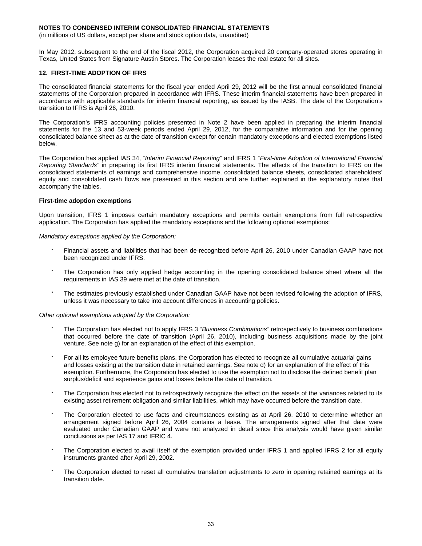(in millions of US dollars, except per share and stock option data, unaudited)

In May 2012, subsequent to the end of the fiscal 2012, the Corporation acquired 20 company-operated stores operating in Texas, United States from Signature Austin Stores. The Corporation leases the real estate for all sites.

## **12. FIRST-TIME ADOPTION OF IFRS**

The consolidated financial statements for the fiscal year ended April 29, 2012 will be the first annual consolidated financial statements of the Corporation prepared in accordance with IFRS. These interim financial statements have been prepared in accordance with applicable standards for interim financial reporting, as issued by the IASB. The date of the Corporation's transition to IFRS is April 26, 2010.

The Corporation's IFRS accounting policies presented in Note 2 have been applied in preparing the interim financial statements for the 13 and 53-week periods ended April 29, 2012, for the comparative information and for the opening consolidated balance sheet as at the date of transition except for certain mandatory exceptions and elected exemptions listed below.

The Corporation has applied IAS 34, "*Interim Financial Reporting"* and IFRS 1 "*First-time Adoption of International Financial Reporting Standards"* in preparing its first IFRS interim financial statements. The effects of the transition to IFRS on the consolidated statements of earnings and comprehensive income, consolidated balance sheets, consolidated shareholders' equity and consolidated cash flows are presented in this section and are further explained in the explanatory notes that accompany the tables.

## **First-time adoption exemptions**

Upon transition, IFRS 1 imposes certain mandatory exceptions and permits certain exemptions from full retrospective application. The Corporation has applied the mandatory exceptions and the following optional exemptions:

*Mandatory exceptions applied by the Corporation:* 

- Financial assets and liabilities that had been de-recognized before April 26, 2010 under Canadian GAAP have not been recognized under IFRS.
- The Corporation has only applied hedge accounting in the opening consolidated balance sheet where all the requirements in IAS 39 were met at the date of transition.
- The estimates previously established under Canadian GAAP have not been revised following the adoption of IFRS, unless it was necessary to take into account differences in accounting policies.

*Other optional exemptions adopted by the Corporation:* 

- The Corporation has elected not to apply IFRS 3 "*Business Combinations"* retrospectively to business combinations that occurred before the date of transition (April 26, 2010), including business acquisitions made by the joint venture. See note g) for an explanation of the effect of this exemption.
- For all its employee future benefits plans, the Corporation has elected to recognize all cumulative actuarial gains and losses existing at the transition date in retained earnings. See note d) for an explanation of the effect of this exemption. Furthermore, the Corporation has elected to use the exemption not to disclose the defined benefit plan surplus/deficit and experience gains and losses before the date of transition.
- The Corporation has elected not to retrospectively recognize the effect on the assets of the variances related to its existing asset retirement obligation and similar liabilities, which may have occurred before the transition date.
- The Corporation elected to use facts and circumstances existing as at April 26, 2010 to determine whether an arrangement signed before April 26, 2004 contains a lease. The arrangements signed after that date were evaluated under Canadian GAAP and were not analyzed in detail since this analysis would have given similar conclusions as per IAS 17 and IFRIC 4.
- The Corporation elected to avail itself of the exemption provided under IFRS 1 and applied IFRS 2 for all equity instruments granted after April 29, 2002.
- The Corporation elected to reset all cumulative translation adjustments to zero in opening retained earnings at its transition date.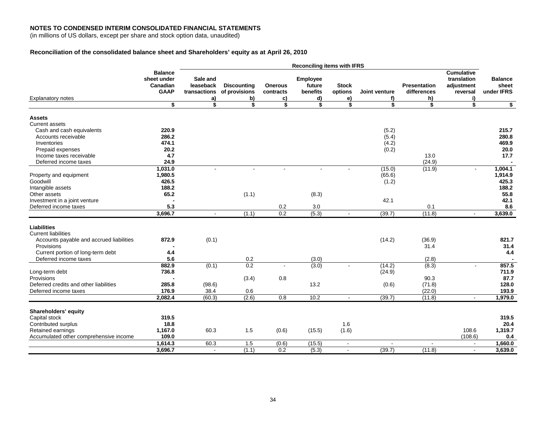(in millions of US dollars, except per share and stock option data, unaudited)

## **Reconciliation of the consolidated balance sheet and Shareholders' equity as at April 26, 2010**

|                                                                                       |                                                          | <b>Reconciling items with IFRS</b>          |                                           |                                   |                                             |                               |                          |                                   |                                                                  |                                       |  |
|---------------------------------------------------------------------------------------|----------------------------------------------------------|---------------------------------------------|-------------------------------------------|-----------------------------------|---------------------------------------------|-------------------------------|--------------------------|-----------------------------------|------------------------------------------------------------------|---------------------------------------|--|
| <b>Explanatory notes</b>                                                              | <b>Balance</b><br>sheet under<br>Canadian<br><b>GAAP</b> | Sale and<br>leaseback<br>transactions<br>a) | <b>Discounting</b><br>of provisions<br>b) | <b>Onerous</b><br>contracts<br>C) | <b>Employee</b><br>future<br>benefits<br>d) | <b>Stock</b><br>options<br>e) | Joint venture<br>f)      | Presentation<br>differences<br>h) | <b>Cumulative</b><br>translation<br>adjustment<br>reversal<br>i) | <b>Balance</b><br>sheet<br>under IFRS |  |
|                                                                                       | Ŝ                                                        | s,                                          | \$                                        | \$                                | \$                                          | \$                            | \$                       | \$                                | \$                                                               | $\overline{\mathbf{r}}$               |  |
| <b>Assets</b><br>Current assets                                                       |                                                          |                                             |                                           |                                   |                                             |                               |                          |                                   |                                                                  |                                       |  |
| Cash and cash equivalents                                                             | 220.9                                                    |                                             |                                           |                                   |                                             |                               | (5.2)                    |                                   |                                                                  | 215.7                                 |  |
| Accounts receivable                                                                   | 286.2                                                    |                                             |                                           |                                   |                                             |                               | (5.4)                    |                                   |                                                                  | 280.8                                 |  |
| Inventories                                                                           | 474.1                                                    |                                             |                                           |                                   |                                             |                               | (4.2)                    |                                   |                                                                  | 469.9                                 |  |
| Prepaid expenses                                                                      | 20.2                                                     |                                             |                                           |                                   |                                             |                               | (0.2)                    |                                   |                                                                  | 20.0                                  |  |
| Income taxes receivable                                                               | 4.7                                                      |                                             |                                           |                                   |                                             |                               |                          | 13.0                              |                                                                  | 17.7                                  |  |
| Deferred income taxes                                                                 | 24.9                                                     |                                             |                                           |                                   |                                             |                               |                          | (24.9)                            |                                                                  |                                       |  |
|                                                                                       | 1,031.0                                                  | $\blacksquare$                              |                                           |                                   |                                             |                               | (15.0)                   | (11.9)                            | $\blacksquare$                                                   | 1.004.1                               |  |
| Property and equipment                                                                | 1,980.5                                                  |                                             |                                           |                                   |                                             |                               | (65.6)                   |                                   |                                                                  | 1,914.9                               |  |
| Goodwill                                                                              | 426.5                                                    |                                             |                                           |                                   |                                             |                               | (1.2)                    |                                   |                                                                  | 425.3                                 |  |
| Intangible assets<br>Other assets                                                     | 188.2<br>65.2                                            |                                             | (1.1)                                     |                                   | (8.3)                                       |                               |                          |                                   |                                                                  | 188.2<br>55.8                         |  |
| Investment in a joint venture                                                         |                                                          |                                             |                                           |                                   |                                             |                               | 42.1                     |                                   |                                                                  | 42.1                                  |  |
| Deferred income taxes                                                                 | 5.3                                                      |                                             |                                           | 0.2                               | 3.0                                         |                               |                          | 0.1                               |                                                                  | 8.6                                   |  |
|                                                                                       | 3,696.7                                                  | $\blacksquare$                              | (1.1)                                     | 0.2                               | (5.3)                                       | $\blacksquare$                | (39.7)                   | (11.8)                            | $\sim$                                                           | 3,639.0                               |  |
|                                                                                       |                                                          |                                             |                                           |                                   |                                             |                               |                          |                                   |                                                                  |                                       |  |
| Liabilities<br><b>Current liabilities</b><br>Accounts payable and accrued liabilities | 872.9                                                    | (0.1)                                       |                                           |                                   |                                             |                               | (14.2)                   | (36.9)                            |                                                                  | 821.7                                 |  |
| Provisions                                                                            |                                                          |                                             |                                           |                                   |                                             |                               |                          | 31.4                              |                                                                  | 31.4                                  |  |
| Current portion of long-term debt<br>Deferred income taxes                            | 4.4<br>5.6                                               |                                             | 0.2                                       |                                   |                                             |                               |                          | (2.8)                             |                                                                  | 4.4                                   |  |
|                                                                                       | 882.9                                                    | (0.1)                                       | 0.2                                       |                                   | (3.0)<br>(3.0)                              |                               | (14.2)                   | (8.3)                             | L.                                                               | 857.5                                 |  |
| Long-term debt                                                                        | 736.8                                                    |                                             |                                           |                                   |                                             |                               | (24.9)                   |                                   |                                                                  | 711.9                                 |  |
| Provisions                                                                            |                                                          |                                             | (3.4)                                     | 0.8                               |                                             |                               |                          | 90.3                              |                                                                  | 87.7                                  |  |
| Deferred credits and other liabilities                                                | 285.8                                                    | (98.6)                                      |                                           |                                   | 13.2                                        |                               | (0.6)                    | (71.8)                            |                                                                  | 128.0                                 |  |
| Deferred income taxes                                                                 | 176.9                                                    | 38.4                                        | 0.6                                       |                                   |                                             |                               |                          | (22.0)                            |                                                                  | 193.9                                 |  |
|                                                                                       | 2,082.4                                                  | (60.3)                                      | (2.6)                                     | 0.8                               | 10.2                                        | $\sim$                        | (39.7)                   | (11.8)                            | $\overline{\phantom{a}}$                                         | 1,979.0                               |  |
|                                                                                       |                                                          |                                             |                                           |                                   |                                             |                               |                          |                                   |                                                                  |                                       |  |
| Shareholders' equity                                                                  |                                                          |                                             |                                           |                                   |                                             |                               |                          |                                   |                                                                  |                                       |  |
| Capital stock                                                                         | 319.5                                                    |                                             |                                           |                                   |                                             |                               |                          |                                   |                                                                  | 319.5                                 |  |
| Contributed surplus                                                                   | 18.8                                                     |                                             |                                           |                                   |                                             | 1.6                           |                          |                                   |                                                                  | 20.4                                  |  |
| Retained earnings                                                                     | 1,167.0                                                  | 60.3                                        | 1.5                                       | (0.6)                             | (15.5)                                      | (1.6)                         |                          |                                   | 108.6                                                            | 1,319.7                               |  |
| Accumulated other comprehensive income                                                | 109.0                                                    |                                             |                                           |                                   |                                             |                               |                          |                                   | (108.6)                                                          | 0.4                                   |  |
|                                                                                       | 1,614.3                                                  | 60.3                                        | 1.5                                       | (0.6)                             | (15.5)                                      | $\blacksquare$                | $\overline{\phantom{a}}$ | $\overline{\phantom{a}}$          | $\blacksquare$                                                   | 1,660.0                               |  |
|                                                                                       | 3,696.7                                                  | $\mathbf{r}$                                | (1.1)                                     | 0.2                               | (5.3)                                       | $\sim$                        | (39.7)                   | (11.8)                            | $\sim$                                                           | 3,639.0                               |  |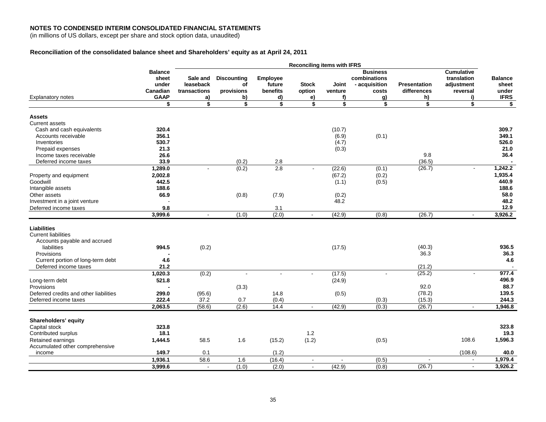(in millions of US dollars, except per share and stock option data, unaudited)

## **Reconciliation of the consolidated balance sheet and Shareholders' equity as at April 24, 2011**

|                                        |                |              |                    |                 |                |         | <b>Reconciling items with IFRS</b> |                     |                   |                |  |
|----------------------------------------|----------------|--------------|--------------------|-----------------|----------------|---------|------------------------------------|---------------------|-------------------|----------------|--|
|                                        | <b>Balance</b> |              |                    |                 |                |         | <b>Business</b>                    |                     | <b>Cumulative</b> |                |  |
|                                        | sheet          | Sale and     | <b>Discounting</b> | <b>Employee</b> |                |         | combinations                       |                     | translation       | <b>Balance</b> |  |
|                                        | under          | leaseback    | of                 | future          | <b>Stock</b>   | Joint   | - acquisition                      | <b>Presentation</b> | adjustment        | sheet          |  |
|                                        | Canadian       | transactions | provisions         | benefits        | option         | venture | costs                              | differences         | reversal          | under          |  |
| <b>Explanatory notes</b>               | <b>GAAP</b>    | a)           | b)                 | d)              | e)             | f)      | <u>g)</u>                          | h)                  | i)                | <b>IFRS</b>    |  |
|                                        | \$             | \$           | \$                 | \$              | \$             | \$      | \$                                 | \$                  | \$                | \$             |  |
| <b>Assets</b>                          |                |              |                    |                 |                |         |                                    |                     |                   |                |  |
| <b>Current assets</b>                  |                |              |                    |                 |                |         |                                    |                     |                   |                |  |
| Cash and cash equivalents              | 320.4          |              |                    |                 |                | (10.7)  |                                    |                     |                   | 309.7          |  |
| Accounts receivable                    | 356.1          |              |                    |                 |                | (6.9)   | (0.1)                              |                     |                   | 349.1          |  |
| Inventories                            | 530.7          |              |                    |                 |                | (4.7)   |                                    |                     |                   | 526.0          |  |
| Prepaid expenses                       | 21.3           |              |                    |                 |                | (0.3)   |                                    |                     |                   | 21.0           |  |
| Income taxes receivable                | 26.6           |              |                    |                 |                |         |                                    | 9.8                 |                   | 36.4           |  |
| Deferred income taxes                  | 33.9           |              | (0.2)              | 2.8             |                |         |                                    | (36.5)              |                   |                |  |
|                                        | 1,289.0        |              | (0.2)              | 2.8             |                | (22.6)  | (0.1)                              | (26.7)              | $\sim$            | 1,242.2        |  |
|                                        | 2,002.8        |              |                    |                 |                | (67.2)  | (0.2)                              |                     |                   | 1,935.4        |  |
| Property and equipment                 | 442.5          |              |                    |                 |                |         |                                    |                     |                   | 440.9          |  |
| Goodwill                               | 188.6          |              |                    |                 |                | (1.1)   | (0.5)                              |                     |                   | 188.6          |  |
| Intangible assets                      |                |              |                    |                 |                |         |                                    |                     |                   | 58.0           |  |
| Other assets                           | 66.9           |              | (0.8)              | (7.9)           |                | (0.2)   |                                    |                     |                   |                |  |
| Investment in a joint venture          |                |              |                    |                 |                | 48.2    |                                    |                     |                   | 48.2           |  |
| Deferred income taxes                  | 9.8            |              |                    | 3.1             |                |         |                                    |                     |                   | 12.9           |  |
|                                        | 3,999.6        | $\sim$       | (1.0)              | (2.0)           |                | (42.9)  | (0.8)                              | (26.7)              | $\blacksquare$    | 3,926.2        |  |
|                                        |                |              |                    |                 |                |         |                                    |                     |                   |                |  |
| <b>Liabilities</b>                     |                |              |                    |                 |                |         |                                    |                     |                   |                |  |
| <b>Current liabilities</b>             |                |              |                    |                 |                |         |                                    |                     |                   |                |  |
| Accounts payable and accrued           |                |              |                    |                 |                |         |                                    |                     |                   |                |  |
| liabilities                            | 994.5          | (0.2)        |                    |                 |                | (17.5)  |                                    | (40.3)              |                   | 936.5          |  |
| Provisions                             |                |              |                    |                 |                |         |                                    | 36.3                |                   | 36.3           |  |
| Current portion of long-term debt      | 4.6            |              |                    |                 |                |         |                                    |                     |                   | 4.6            |  |
| Deferred income taxes                  | 21.2           |              |                    |                 |                |         |                                    | (21.2)              |                   |                |  |
|                                        | 1,020.3        | (0.2)        | $\blacksquare$     | $\blacksquare$  | $\blacksquare$ | (17.5)  |                                    | (25.2)              | $\sim$            | 977.4          |  |
| Long-term debt                         | 521.8          |              |                    |                 |                | (24.9)  |                                    |                     |                   | 496.9          |  |
| Provisions                             |                |              | (3.3)              |                 |                |         |                                    | 92.0                |                   | 88.7           |  |
| Deferred credits and other liabilities | 299.0          | (95.6)       |                    | 14.8            |                | (0.5)   |                                    | (78.2)              |                   | 139.5          |  |
| Deferred income taxes                  | 222.4          | 37.2         | 0.7                | (0.4)           |                |         | (0.3)                              | (15.3)              |                   | 244.3          |  |
|                                        | 2,063.5        | (58.6)       | (2.6)              | 14.4            | $\blacksquare$ | (42.9)  | (0.3)                              | (26.7)              | $\blacksquare$    | 1,946.8        |  |
|                                        |                |              |                    |                 |                |         |                                    |                     |                   |                |  |
| Shareholders' equity                   |                |              |                    |                 |                |         |                                    |                     |                   |                |  |
| Capital stock                          | 323.8          |              |                    |                 |                |         |                                    |                     |                   | 323.8          |  |
| Contributed surplus                    | 18.1           |              |                    |                 | 1.2            |         |                                    |                     |                   | 19.3           |  |
| Retained earnings                      | 1,444.5        | 58.5         | 1.6                | (15.2)          | (1.2)          |         | (0.5)                              |                     | 108.6             | 1,596.3        |  |
| Accumulated other comprehensive        |                |              |                    |                 |                |         |                                    |                     |                   |                |  |
| income                                 | 149.7          | 0.1          |                    | (1.2)           |                |         |                                    |                     | (108.6)           | 40.0           |  |
|                                        | 1,936.1        | 58.6         | 1.6                | (16.4)          | $\sim$         |         | (0.5)                              | $\sim$              | $\sim$            | 1,979.4        |  |
|                                        | 3,999.6        | $\sim$       | (1.0)              | (2.0)           | $\blacksquare$ | (42.9)  | (0.8)                              | (26.7)              | $\blacksquare$    | 3,926.2        |  |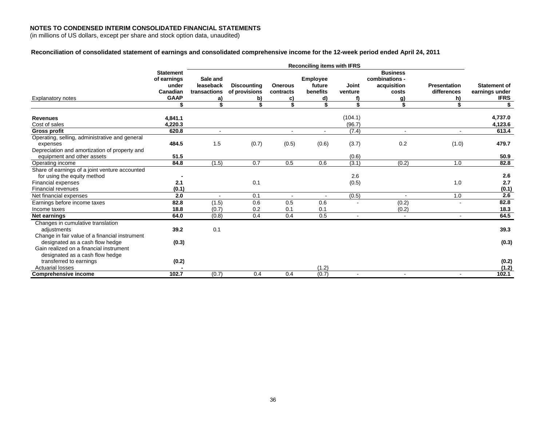(in millions of US dollars, except per share and stock option data, unaudited)

## **Reconciliation of consolidated statement of earnings and consolidated comprehensive income for the 12-week period ended April 24, 2011**

|                                                                                                                                  | <b>Reconciling items with IFRS</b>                                  |                                             |                                           |                                   |                                             |                          |                                                                 |                                          |                                                      |
|----------------------------------------------------------------------------------------------------------------------------------|---------------------------------------------------------------------|---------------------------------------------|-------------------------------------------|-----------------------------------|---------------------------------------------|--------------------------|-----------------------------------------------------------------|------------------------------------------|------------------------------------------------------|
| <b>Explanatory notes</b>                                                                                                         | <b>Statement</b><br>of earnings<br>under<br>Canadian<br><b>GAAP</b> | Sale and<br>leaseback<br>transactions<br>a) | <b>Discounting</b><br>of provisions<br>b) | <b>Onerous</b><br>contracts<br>C) | <b>Employee</b><br>future<br>benefits<br>d) | <b>Joint</b><br>venture  | <b>Business</b><br>combinations -<br>acquisition<br>costs<br>g) | <b>Presentation</b><br>differences<br>h) | <b>Statement of</b><br>earnings under<br><b>IFRS</b> |
|                                                                                                                                  |                                                                     | \$                                          |                                           | \$                                | \$                                          | \$                       | \$                                                              | \$                                       | \$                                                   |
| <b>Revenues</b>                                                                                                                  | 4,841.1                                                             |                                             |                                           |                                   |                                             | (104.1)                  |                                                                 |                                          | 4,737.0                                              |
| Cost of sales                                                                                                                    | 4,220.3                                                             |                                             |                                           |                                   |                                             | (96.7)                   |                                                                 |                                          | 4,123.6                                              |
| Gross profit<br>Operating, selling, administrative and general<br>expenses<br>Depreciation and amortization of property and      | 620.8<br>484.5                                                      | $\blacksquare$<br>1.5                       | (0.7)                                     | $\blacksquare$<br>(0.5)           | (0.6)                                       | (7.4)<br>(3.7)           | $\blacksquare$<br>0.2                                           | $\blacksquare$<br>(1.0)                  | 613.4<br>479.7                                       |
| equipment and other assets                                                                                                       | 51.5                                                                |                                             |                                           |                                   |                                             | (0.6)                    |                                                                 |                                          | 50.9                                                 |
| Operating income                                                                                                                 | 84.8                                                                | (1.5)                                       | 0.7                                       | 0.5                               | 0.6                                         | (3.1)                    | (0.2)                                                           | 1.0                                      | 82.8                                                 |
| Share of earnings of a joint venture accounted<br>for using the equity method<br>Financial expenses<br><b>Financial revenues</b> | 2.1<br>(0.1)                                                        |                                             | 0.1                                       |                                   |                                             | 2.6<br>(0.5)             |                                                                 | 1.0                                      | 2.6<br>2.7<br>(0.1)                                  |
| Net financial expenses                                                                                                           | 2.0                                                                 | $\blacksquare$                              | 0.1                                       | $\blacksquare$                    | $\overline{\phantom{a}}$                    | (0.5)                    |                                                                 | 1.0                                      | 2.6                                                  |
| Earnings before income taxes<br>Income taxes                                                                                     | 82.8<br>18.8<br>64.0                                                | (1.5)<br>(0.7)<br>(0.8)                     | 0.6<br>0.2<br>0.4                         | 0.5<br>0.1<br>0.4                 | 0.6<br>0.1<br>0.5                           |                          | (0.2)<br>(0.2)<br>$\sim$                                        | ÷<br>$\sim$                              | 82.8<br>18.3<br>64.5                                 |
| Net earnings<br>Changes in cumulative translation<br>adjustments                                                                 | 39.2                                                                | 0.1                                         |                                           |                                   |                                             | $\sim$                   |                                                                 |                                          | 39.3                                                 |
| Change in fair value of a financial instrument<br>designated as a cash flow hedge<br>Gain realized on a financial instrument     | (0.3)                                                               |                                             |                                           |                                   |                                             |                          |                                                                 |                                          | (0.3)                                                |
| designated as a cash flow hedge<br>transferred to earnings<br><b>Actuarial losses</b><br><b>Comprehensive income</b>             | (0.2)<br>102.7                                                      | (0.7)                                       | 0.4                                       | 0.4                               | (1.2)<br>(0.7)                              | $\overline{\phantom{a}}$ | $\sim$                                                          | $\blacksquare$                           | (0.2)<br>(1.2)<br>102.1                              |
|                                                                                                                                  |                                                                     |                                             |                                           |                                   |                                             |                          |                                                                 |                                          |                                                      |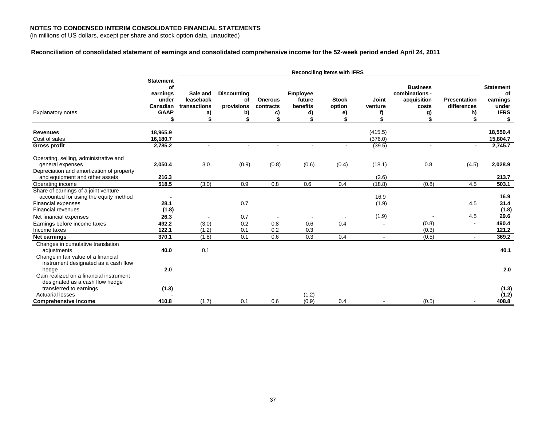(in millions of US dollars, except per share and stock option data, unaudited)

## **Reconciliation of consolidated statement of earnings and consolidated comprehensive income for the 52-week period ended April 24, 2011**

|                                                                                                       |                                                                        |                                                   | <b>Reconciling items with IFRS</b>                 |                                         |                                                   |                                    |                              |                                                                       |                                          |                                                                  |  |  |
|-------------------------------------------------------------------------------------------------------|------------------------------------------------------------------------|---------------------------------------------------|----------------------------------------------------|-----------------------------------------|---------------------------------------------------|------------------------------------|------------------------------|-----------------------------------------------------------------------|------------------------------------------|------------------------------------------------------------------|--|--|
| <b>Explanatory notes</b>                                                                              | <b>Statement</b><br>оf<br>earnings<br>under<br>Canadian<br><b>GAAP</b> | Sale and<br>leaseback<br>transactions<br>a)<br>\$ | <b>Discounting</b><br>οf<br>provisions<br>b)<br>\$ | <b>Onerous</b><br>contracts<br>C)<br>\$ | <b>Employee</b><br>future<br>benefits<br>d)<br>\$ | <b>Stock</b><br>option<br>e)<br>\$ | Joint<br>venture<br>f)<br>\$ | <b>Business</b><br>combinations -<br>acquisition<br>costs<br>g)<br>\$ | <b>Presentation</b><br>differences<br>h) | <b>Statement</b><br>of<br>earnings<br>under<br><b>IFRS</b><br>\$ |  |  |
|                                                                                                       |                                                                        |                                                   |                                                    |                                         |                                                   |                                    |                              |                                                                       |                                          |                                                                  |  |  |
| <b>Revenues</b>                                                                                       | 18,965.9                                                               |                                                   |                                                    |                                         |                                                   |                                    | (415.5)                      |                                                                       |                                          | 18,550.4                                                         |  |  |
| Cost of sales                                                                                         | 16,180.7                                                               |                                                   |                                                    |                                         |                                                   |                                    | (376.0)                      |                                                                       |                                          | 15,804.7                                                         |  |  |
| <b>Gross profit</b>                                                                                   | 2,785.2                                                                | $\blacksquare$                                    | $\sim$                                             | $\overline{\phantom{a}}$                | $\blacksquare$                                    | $\blacksquare$                     | (39.5)                       | $\sim$                                                                |                                          | 2,745.7                                                          |  |  |
| Operating, selling, administrative and<br>general expenses                                            | 2,050.4                                                                | 3.0                                               | (0.9)                                              | (0.8)                                   | (0.6)                                             | (0.4)                              | (18.1)                       | 0.8                                                                   | (4.5)                                    | 2,028.9                                                          |  |  |
| Depreciation and amortization of property<br>and equipment and other assets                           | 216.3                                                                  |                                                   |                                                    |                                         |                                                   |                                    | (2.6)                        |                                                                       |                                          | 213.7                                                            |  |  |
| Operating income                                                                                      | 518.5                                                                  | (3.0)                                             | 0.9                                                | 0.8                                     | 0.6                                               | 0.4                                | (18.8)                       | (0.8)                                                                 | 4.5                                      | 503.1                                                            |  |  |
| Share of earnings of a joint venture                                                                  |                                                                        |                                                   |                                                    |                                         |                                                   |                                    |                              |                                                                       |                                          |                                                                  |  |  |
| accounted for using the equity method                                                                 |                                                                        |                                                   |                                                    |                                         |                                                   |                                    | 16.9                         |                                                                       |                                          | 16.9                                                             |  |  |
| <b>Financial expenses</b>                                                                             | 28.1                                                                   |                                                   | 0.7                                                |                                         |                                                   |                                    | (1.9)                        |                                                                       | 4.5                                      | 31.4                                                             |  |  |
| <b>Financial revenues</b>                                                                             | (1.8)                                                                  |                                                   |                                                    |                                         |                                                   |                                    |                              |                                                                       |                                          | (1.8)                                                            |  |  |
| Net financial expenses                                                                                | 26.3                                                                   | $\sim$                                            | 0.7                                                | $\sim$                                  | $\blacksquare$                                    | $\sim$                             | (1.9)                        |                                                                       | 4.5                                      | 29.6                                                             |  |  |
| Earnings before income taxes                                                                          | 492.2                                                                  | (3.0)                                             | 0.2                                                | 0.8                                     | 0.6                                               | 0.4                                |                              | (0.8)                                                                 |                                          | 490.4                                                            |  |  |
| Income taxes                                                                                          | 122.1                                                                  | (1.2)                                             | 0.1                                                | 0.2                                     | 0.3                                               |                                    |                              | (0.3)                                                                 |                                          | 121.2                                                            |  |  |
| Net earnings                                                                                          | 370.1                                                                  | (1.8)                                             | 0.1                                                | 0.6                                     | 0.3                                               | 0.4                                | $\sim$                       | (0.5)                                                                 |                                          | 369.2                                                            |  |  |
| Changes in cumulative translation<br>adjustments<br>Change in fair value of a financial               | 40.0                                                                   | 0.1                                               |                                                    |                                         |                                                   |                                    |                              |                                                                       |                                          | 40.1                                                             |  |  |
| instrument designated as a cash flow<br>hedge                                                         | 2.0                                                                    |                                                   |                                                    |                                         |                                                   |                                    |                              |                                                                       |                                          | 2.0                                                              |  |  |
| Gain realized on a financial instrument<br>designated as a cash flow hedge<br>transferred to earnings | (1.3)                                                                  |                                                   |                                                    |                                         |                                                   |                                    |                              |                                                                       |                                          | (1.3)                                                            |  |  |
| <b>Actuarial losses</b>                                                                               |                                                                        |                                                   |                                                    |                                         | (1.2)                                             |                                    |                              |                                                                       |                                          | (1.2)                                                            |  |  |
| <b>Comprehensive income</b>                                                                           | 410.8                                                                  | (1.7)                                             | 0.1                                                | 0.6                                     | (0.9)                                             | 0.4                                | $\blacksquare$               | (0.5)                                                                 |                                          | 408.8                                                            |  |  |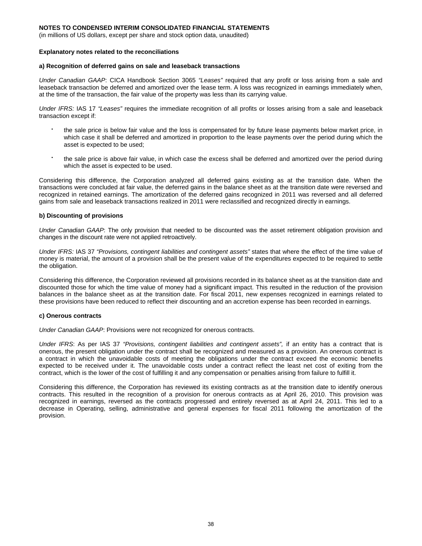(in millions of US dollars, except per share and stock option data, unaudited)

### **Explanatory notes related to the reconciliations**

### **a) Recognition of deferred gains on sale and leaseback transactions**

*Under Canadian GAAP*: CICA Handbook Section 3065 *"Leases"* required that any profit or loss arising from a sale and leaseback transaction be deferred and amortized over the lease term. A loss was recognized in earnings immediately when, at the time of the transaction, the fair value of the property was less than its carrying value.

*Under IFRS:* IAS 17 *"Leases"* requires the immediate recognition of all profits or losses arising from a sale and leaseback transaction except if:

- the sale price is below fair value and the loss is compensated for by future lease payments below market price, in which case it shall be deferred and amortized in proportion to the lease payments over the period during which the asset is expected to be used;
- the sale price is above fair value, in which case the excess shall be deferred and amortized over the period during which the asset is expected to be used.

Considering this difference, the Corporation analyzed all deferred gains existing as at the transition date. When the transactions were concluded at fair value, the deferred gains in the balance sheet as at the transition date were reversed and recognized in retained earnings. The amortization of the deferred gains recognized in 2011 was reversed and all deferred gains from sale and leaseback transactions realized in 2011 were reclassified and recognized directly in earnings.

### **b) Discounting of provisions**

*Under Canadian GAAP*: The only provision that needed to be discounted was the asset retirement obligation provision and changes in the discount rate were not applied retroactively.

*Under IFRS:* IAS 37 *"Provisions, contingent liabilities and contingent assets"* states that where the effect of the time value of money is material, the amount of a provision shall be the present value of the expenditures expected to be required to settle the obligation.

Considering this difference, the Corporation reviewed all provisions recorded in its balance sheet as at the transition date and discounted those for which the time value of money had a significant impact. This resulted in the reduction of the provision balances in the balance sheet as at the transition date. For fiscal 2011, new expenses recognized in earnings related to these provisions have been reduced to reflect their discounting and an accretion expense has been recorded in earnings.

### **c) Onerous contracts**

*Under Canadian GAAP*: Provisions were not recognized for onerous contracts.

*Under IFRS*: As per IAS 37 *"Provisions, contingent liabilities and contingent assets",* if an entity has a contract that is onerous, the present obligation under the contract shall be recognized and measured as a provision. An onerous contract is a contract in which the unavoidable costs of meeting the obligations under the contract exceed the economic benefits expected to be received under it. The unavoidable costs under a contract reflect the least net cost of exiting from the contract, which is the lower of the cost of fulfilling it and any compensation or penalties arising from failure to fulfill it.

Considering this difference, the Corporation has reviewed its existing contracts as at the transition date to identify onerous contracts. This resulted in the recognition of a provision for onerous contracts as at April 26, 2010. This provision was recognized in earnings, reversed as the contracts progressed and entirely reversed as at April 24, 2011. This led to a decrease in Operating, selling, administrative and general expenses for fiscal 2011 following the amortization of the provision.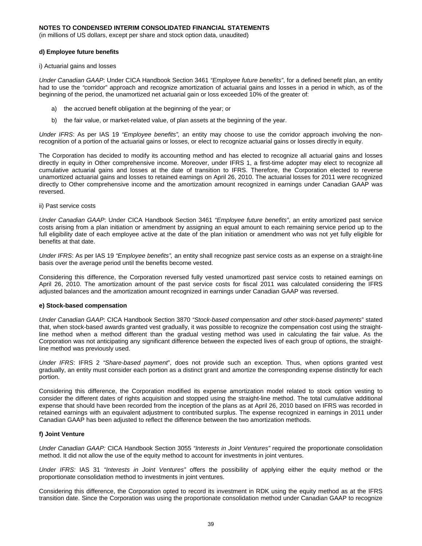(in millions of US dollars, except per share and stock option data, unaudited)

## **d) Employee future benefits**

i) Actuarial gains and losses

*Under Canadian GAAP*: Under CICA Handbook Section 3461 *"Employee future benefits"*, for a defined benefit plan, an entity had to use the *"*corridor" approach and recognize amortization of actuarial gains and losses in a period in which, as of the beginning of the period, the unamortized net actuarial gain or loss exceeded 10% of the greater of:

- a) the accrued benefit obligation at the beginning of the year; or
- b) the fair value, or market-related value, of plan assets at the beginning of the year.

*Under IFRS*: As per IAS 19 *"Employee benefits",* an entity may choose to use the corridor approach involving the nonrecognition of a portion of the actuarial gains or losses, or elect to recognize actuarial gains or losses directly in equity.

The Corporation has decided to modify its accounting method and has elected to recognize all actuarial gains and losses directly in equity in Other comprehensive income. Moreover, under IFRS 1, a first-time adopter may elect to recognize all cumulative actuarial gains and losses at the date of transition to IFRS. Therefore, the Corporation elected to reverse unamortized actuarial gains and losses to retained earnings on April 26, 2010. The actuarial losses for 2011 were recognized directly to Other comprehensive income and the amortization amount recognized in earnings under Canadian GAAP was reversed.

ii) Past service costs

*Under Canadian GAAP*: Under CICA Handbook Section 3461 *"Employee future benefits"*, an entity amortized past service costs arising from a plan initiation or amendment by assigning an equal amount to each remaining service period up to the full eligibility date of each employee active at the date of the plan initiation or amendment who was not yet fully eligible for benefits at that date.

*Under IFRS*: As per IAS 19 *"Employee benefits",* an entity shall recognize past service costs as an expense on a straight-line basis over the average period until the benefits become vested.

Considering this difference, the Corporation reversed fully vested unamortized past service costs to retained earnings on April 26, 2010. The amortization amount of the past service costs for fiscal 2011 was calculated considering the IFRS adjusted balances and the amortization amount recognized in earnings under Canadian GAAP was reversed.

### **e) Stock-based compensation**

*Under Canadian GAAP*: CICA Handbook Section 3870 *"Stock-based compensation and other stock-based payments*" stated that, when stock-based awards granted vest gradually, it was possible to recognize the compensation cost using the straightline method when a method different than the gradual vesting method was used in calculating the fair value. As the Corporation was not anticipating any significant difference between the expected lives of each group of options, the straightline method was previously used.

*Under IFRS*: IFRS 2 *"Share-based payment*", does not provide such an exception. Thus, when options granted vest gradually, an entity must consider each portion as a distinct grant and amortize the corresponding expense distinctly for each portion.

Considering this difference, the Corporation modified its expense amortization model related to stock option vesting to consider the different dates of rights acquisition and stopped using the straight-line method. The total cumulative additional expense that should have been recorded from the inception of the plans as at April 26, 2010 based on IFRS was recorded in retained earnings with an equivalent adjustment to contributed surplus. The expense recognized in earnings in 2011 under Canadian GAAP has been adjusted to reflect the difference between the two amortization methods.

## **f) Joint Venture**

*Under Canadian GAAP:* CICA Handbook Section 3055 *"Interests in Joint Ventures"* required the proportionate consolidation method. It did not allow the use of the equity method to account for investments in joint ventures.

*Under IFRS:* IAS 31 *"Interests in Joint Ventures"* offers the possibility of applying either the equity method or the proportionate consolidation method to investments in joint ventures.

Considering this difference, the Corporation opted to record its investment in RDK using the equity method as at the IFRS transition date. Since the Corporation was using the proportionate consolidation method under Canadian GAAP to recognize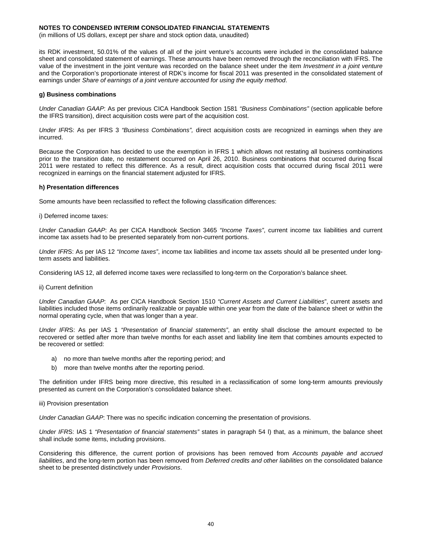(in millions of US dollars, except per share and stock option data, unaudited)

its RDK investment, 50.01% of the values of all of the joint venture's accounts were included in the consolidated balance sheet and consolidated statement of earnings. These amounts have been removed through the reconciliation with IFRS. The value of the investment in the joint venture was recorded on the balance sheet under the item *Investment in a joint venture*  and the Corporation's proportionate interest of RDK's income for fiscal 2011 was presented in the consolidated statement of earnings under *Share of earnings of a joint venture accounted for using the equity method*.

### **g) Business combinations**

*Under Canadian GAAP*: As per previous CICA Handbook Section 1581 *"Business Combinations"* (section applicable before the IFRS transition), direct acquisition costs were part of the acquisition cost.

*Under IFR*S: As per IFRS 3 *"Business Combinations",* direct acquisition costs are recognized in earnings when they are incurred.

Because the Corporation has decided to use the exemption in IFRS 1 which allows not restating all business combinations prior to the transition date, no restatement occurred on April 26, 2010. Business combinations that occurred during fiscal 2011 were restated to reflect this difference. As a result, direct acquisition costs that occurred during fiscal 2011 were recognized in earnings on the financial statement adjusted for IFRS.

### **h) Presentation differences**

Some amounts have been reclassified to reflect the following classification differences:

i) Deferred income taxes:

*Under Canadian GAAP*: As per CICA Handbook Section 3465 *"Income Taxes"*, current income tax liabilities and current income tax assets had to be presented separately from non-current portions.

*Under IFR*S: As per IAS 12 *"Income taxes"*, income tax liabilities and income tax assets should all be presented under longterm assets and liabilities.

Considering IAS 12, all deferred income taxes were reclassified to long-term on the Corporation's balance sheet.

ii) Current definition

*Under Canadian GAAP*: As per CICA Handbook Section 1510 *"Current Assets and Current Liabilities*", current assets and liabilities included those items ordinarily realizable or payable within one year from the date of the balance sheet or within the normal operating cycle, when that was longer than a year.

*Under IFR*S: As per IAS 1 *"Presentation of financial statements"*, an entity shall disclose the amount expected to be recovered or settled after more than twelve months for each asset and liability line item that combines amounts expected to be recovered or settled:

- a) no more than twelve months after the reporting period; and
- b) more than twelve months after the reporting period.

The definition under IFRS being more directive, this resulted in a reclassification of some long-term amounts previously presented as current on the Corporation's consolidated balance sheet.

#### iii) Provision presentation

*Under Canadian GAAP*: There was no specific indication concerning the presentation of provisions.

*Under IFR*S: IAS 1 *"Presentation of financial statements"* states in paragraph 54 l) that, as a minimum, the balance sheet shall include some items, including provisions.

Considering this difference, the current portion of provisions has been removed from *Accounts payable and accrued liabilities*, and the long-term portion has been removed from *Deferred credits and other liabilities* on the consolidated balance sheet to be presented distinctively under *Provisions*.